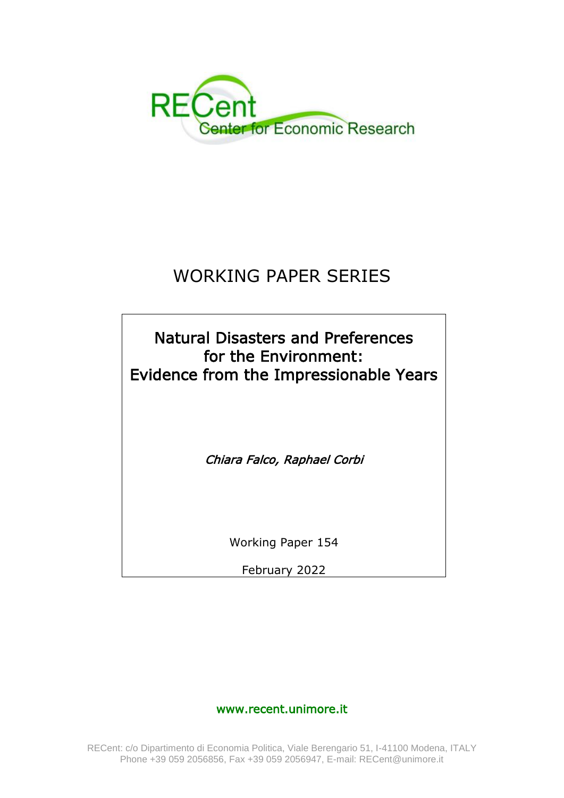

## WORKING PAPER SERIES

Natural Disasters and Preferences for the Environment: Evidence from the Impressionable Years Chiara Falco, Raphael Corbi

Working Paper 154

February 2022

www.recent.unimore.it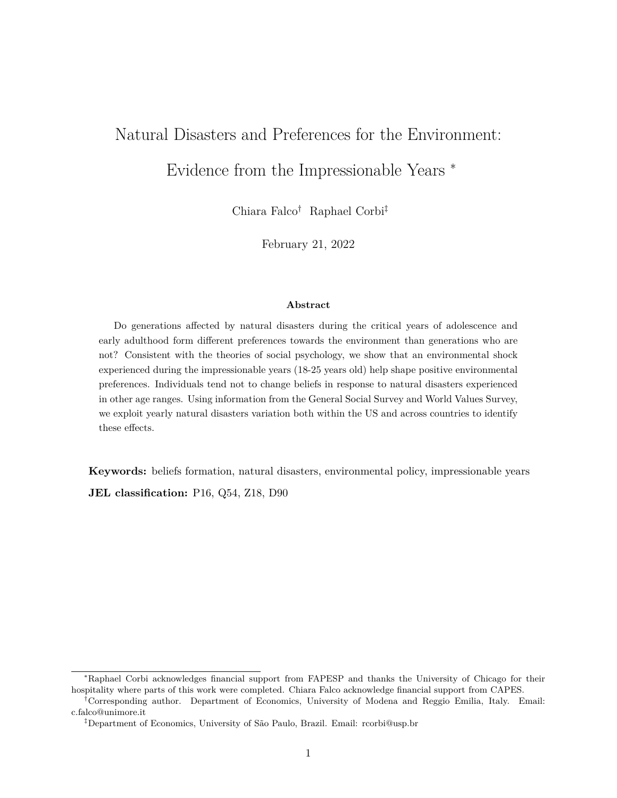# Natural Disasters and Preferences for the Environment:

Evidence from the Impressionable Years <sup>∗</sup>

Chiara Falco† Raphael Corbi‡

February 21, 2022

#### **Abstract**

Do generations affected by natural disasters during the critical years of adolescence and early adulthood form different preferences towards the environment than generations who are not? Consistent with the theories of social psychology, we show that an environmental shock experienced during the impressionable years (18-25 years old) help shape positive environmental preferences. Individuals tend not to change beliefs in response to natural disasters experienced in other age ranges. Using information from the General Social Survey and World Values Survey, we exploit yearly natural disasters variation both within the US and across countries to identify these effects.

**Keywords:** beliefs formation, natural disasters, environmental policy, impressionable years

**JEL classification:** P16, Q54, Z18, D90

<sup>∗</sup>Raphael Corbi acknowledges financial support from FAPESP and thanks the University of Chicago for their hospitality where parts of this work were completed. Chiara Falco acknowledge financial support from CAPES.

<sup>†</sup>Corresponding author. Department of Economics, University of Modena and Reggio Emilia, Italy. Email: c.falco@unimore.it

<sup>‡</sup>Department of Economics, University of São Paulo, Brazil. Email: rcorbi@usp.br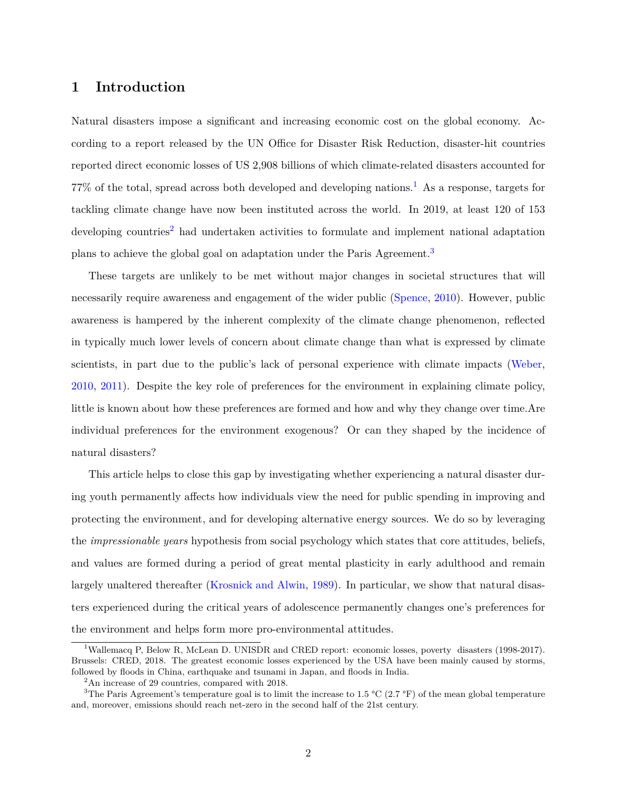#### **1 Introduction**

Natural disasters impose a significant and increasing economic cost on the global economy. According to a report released by the UN Office for Disaster Risk Reduction, disaster-hit countries reported direct economic losses of US 2,908 billions of which climate-related disasters accounted for 77% of the total, spread across both developed and developing nations.[1](#page-2-0) As a response, targets for tackling climate change have now been instituted across the world. In 2019, at least 120 of 153 developing countries<sup>[2](#page-2-1)</sup> had undertaken activities to formulate and implement national adaptation plans to achieve the global goal on adaptation under the Paris Agreement.[3](#page-2-2)

These targets are unlikely to be met without major changes in societal structures that will necessarily require awareness and engagement of the wider public [\(Spence,](#page-21-0) [2010\)](#page-21-0). However, public awareness is hampered by the inherent complexity of the climate change phenomenon, reflected in typically much lower levels of concern about climate change than what is expressed by climate scientists, in part due to the public's lack of personal experience with climate impacts [\(Weber,](#page-21-1) [2010,](#page-21-1) [2011\)](#page-21-2). Despite the key role of preferences for the environment in explaining climate policy, little is known about how these preferences are formed and how and why they change over time.Are individual preferences for the environment exogenous? Or can they shaped by the incidence of natural disasters?

This article helps to close this gap by investigating whether experiencing a natural disaster during youth permanently affects how individuals view the need for public spending in improving and protecting the environment, and for developing alternative energy sources. We do so by leveraging the *impressionable years* hypothesis from social psychology which states that core attitudes, beliefs, and values are formed during a period of great mental plasticity in early adulthood and remain largely unaltered thereafter [\(Krosnick and Alwin,](#page-20-0) [1989\)](#page-20-0). In particular, we show that natural disasters experienced during the critical years of adolescence permanently changes one's preferences for the environment and helps form more pro-environmental attitudes.

<span id="page-2-0"></span><sup>&</sup>lt;sup>1</sup>Wallemacq P, Below R, McLean D. UNISDR and CRED report: economic losses, poverty disasters (1998-2017). Brussels: CRED, 2018. The greatest economic losses experienced by the USA have been mainly caused by storms, followed by floods in China, earthquake and tsunami in Japan, and floods in India.

<span id="page-2-2"></span><span id="page-2-1"></span><sup>2</sup>An increase of 29 countries, compared with 2018.

<sup>&</sup>lt;sup>3</sup>The Paris Agreement's temperature goal is to limit the increase to 1.5 °C (2.7 °F) of the mean global temperature and, moreover, emissions should reach net-zero in the second half of the 21st century.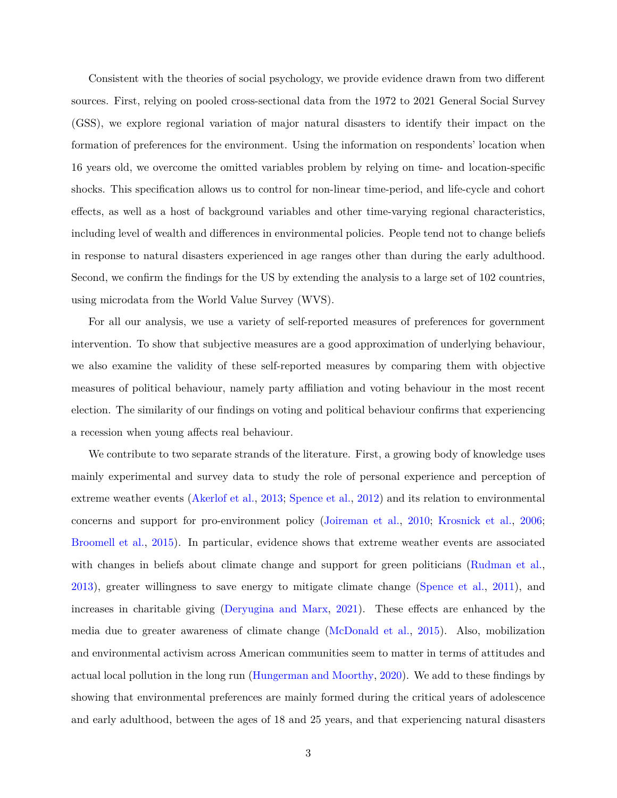Consistent with the theories of social psychology, we provide evidence drawn from two different sources. First, relying on pooled cross-sectional data from the 1972 to 2021 General Social Survey (GSS), we explore regional variation of major natural disasters to identify their impact on the formation of preferences for the environment. Using the information on respondents' location when 16 years old, we overcome the omitted variables problem by relying on time- and location-specific shocks. This specification allows us to control for non-linear time-period, and life-cycle and cohort effects, as well as a host of background variables and other time-varying regional characteristics, including level of wealth and differences in environmental policies. People tend not to change beliefs in response to natural disasters experienced in age ranges other than during the early adulthood. Second, we confirm the findings for the US by extending the analysis to a large set of 102 countries, using microdata from the World Value Survey (WVS).

For all our analysis, we use a variety of self-reported measures of preferences for government intervention. To show that subjective measures are a good approximation of underlying behaviour, we also examine the validity of these self-reported measures by comparing them with objective measures of political behaviour, namely party affiliation and voting behaviour in the most recent election. The similarity of our findings on voting and political behaviour confirms that experiencing a recession when young affects real behaviour.

We contribute to two separate strands of the literature. First, a growing body of knowledge uses mainly experimental and survey data to study the role of personal experience and perception of extreme weather events [\(Akerlof et al.,](#page-18-0) [2013;](#page-18-0) [Spence et al.,](#page-21-3) [2012\)](#page-21-3) and its relation to environmental concerns and support for pro-environment policy [\(Joireman et al.,](#page-20-1) [2010;](#page-20-1) [Krosnick et al.,](#page-20-2) [2006;](#page-20-2) [Broomell et al.,](#page-18-1) [2015\)](#page-18-1). In particular, evidence shows that extreme weather events are associated with changes in beliefs about climate change and support for green politicians [\(Rudman et al.,](#page-21-4) [2013\)](#page-21-4), greater willingness to save energy to mitigate climate change [\(Spence et al.,](#page-21-5) [2011\)](#page-21-5), and increases in charitable giving [\(Deryugina and Marx,](#page-18-2) [2021\)](#page-18-2). These effects are enhanced by the media due to greater awareness of climate change [\(McDonald et al.,](#page-20-3) [2015\)](#page-20-3). Also, mobilization and environmental activism across American communities seem to matter in terms of attitudes and actual local pollution in the long run [\(Hungerman and Moorthy,](#page-19-0) [2020\)](#page-19-0). We add to these findings by showing that environmental preferences are mainly formed during the critical years of adolescence and early adulthood, between the ages of 18 and 25 years, and that experiencing natural disasters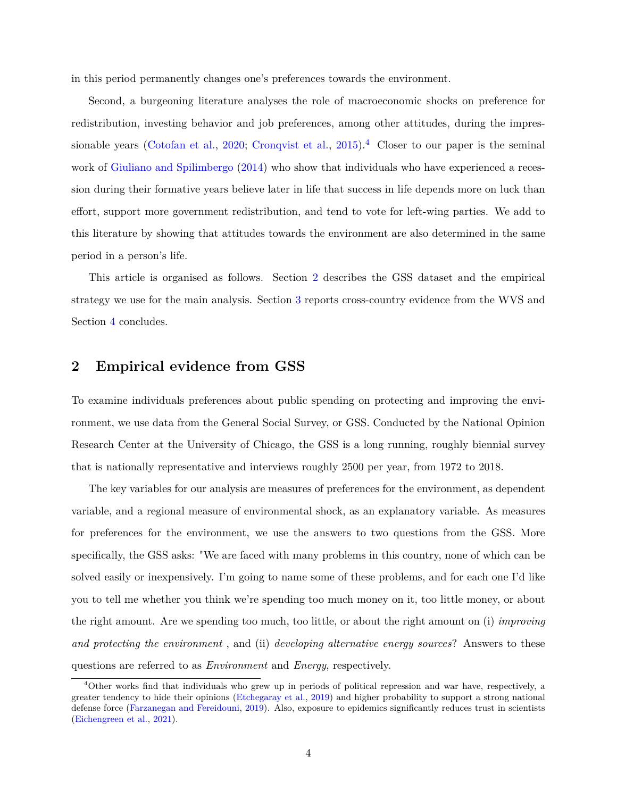in this period permanently changes one's preferences towards the environment.

Second, a burgeoning literature analyses the role of macroeconomic shocks on preference for redistribution, investing behavior and job preferences, among other attitudes, during the impres-sionable years [\(Cotofan et al.,](#page-18-3) [2020;](#page-18-3) [Cronqvist et al.,](#page-18-4) [2015\)](#page-18-4).<sup>[4](#page-4-0)</sup> Closer to our paper is the seminal work of [Giuliano and Spilimbergo](#page-19-1) [\(2014\)](#page-19-1) who show that individuals who have experienced a recession during their formative years believe later in life that success in life depends more on luck than effort, support more government redistribution, and tend to vote for left-wing parties. We add to this literature by showing that attitudes towards the environment are also determined in the same period in a person's life.

This article is organised as follows. Section [2](#page-4-1) describes the GSS dataset and the empirical strategy we use for the main analysis. Section [3](#page-14-0) reports cross-country evidence from the WVS and Section [4](#page-17-0) concludes.

#### <span id="page-4-1"></span>**2 Empirical evidence from GSS**

To examine individuals preferences about public spending on protecting and improving the environment, we use data from the General Social Survey, or GSS. Conducted by the National Opinion Research Center at the University of Chicago, the GSS is a long running, roughly biennial survey that is nationally representative and interviews roughly 2500 per year, from 1972 to 2018.

The key variables for our analysis are measures of preferences for the environment, as dependent variable, and a regional measure of environmental shock, as an explanatory variable. As measures for preferences for the environment, we use the answers to two questions from the GSS. More specifically, the GSS asks: "We are faced with many problems in this country, none of which can be solved easily or inexpensively. I'm going to name some of these problems, and for each one I'd like you to tell me whether you think we're spending too much money on it, too little money, or about the right amount. Are we spending too much, too little, or about the right amount on (i) *improving and protecting the environment* , and (ii) *developing alternative energy sources*? Answers to these questions are referred to as *Environment* and *Energy*, respectively.

<span id="page-4-0"></span><sup>&</sup>lt;sup>4</sup>Other works find that individuals who grew up in periods of political repression and war have, respectively, a greater tendency to hide their opinions [\(Etchegaray et al.,](#page-19-2) [2019\)](#page-19-2) and higher probability to support a strong national defense force [\(Farzanegan and Fereidouni,](#page-19-3) [2019\)](#page-19-3). Also, exposure to epidemics significantly reduces trust in scientists [\(Eichengreen et al.,](#page-19-4) [2021\)](#page-19-4).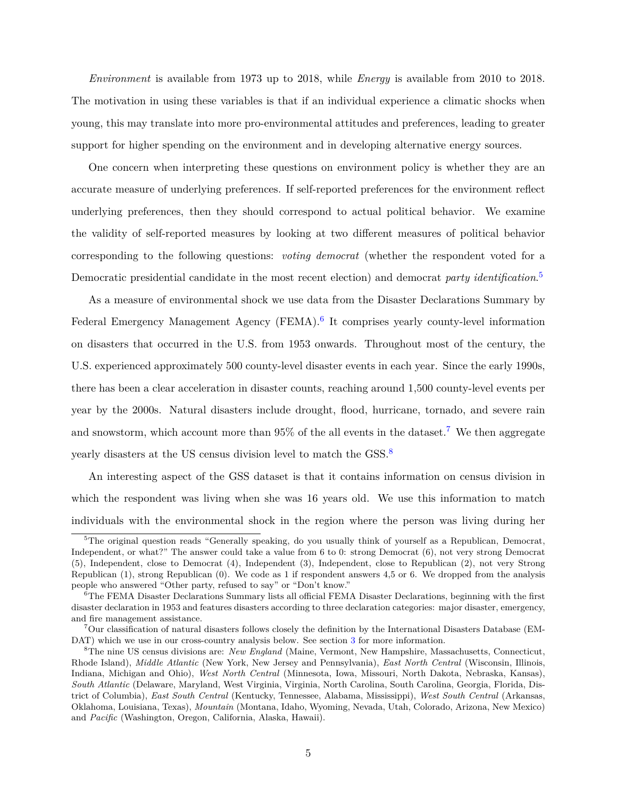*Environment* is available from 1973 up to 2018, while *Energy* is available from 2010 to 2018. The motivation in using these variables is that if an individual experience a climatic shocks when young, this may translate into more pro-environmental attitudes and preferences, leading to greater support for higher spending on the environment and in developing alternative energy sources.

One concern when interpreting these questions on environment policy is whether they are an accurate measure of underlying preferences. If self-reported preferences for the environment reflect underlying preferences, then they should correspond to actual political behavior. We examine the validity of self-reported measures by looking at two different measures of political behavior corresponding to the following questions: *voting democrat* (whether the respondent voted for a Democratic presidential candidate in the most recent election) and democrat *party identification*. [5](#page-5-0)

As a measure of environmental shock we use data from the Disaster Declarations Summary by Federal Emergency Management Agency (FEMA).<sup>[6](#page-5-1)</sup> It comprises yearly county-level information on disasters that occurred in the U.S. from 1953 onwards. Throughout most of the century, the U.S. experienced approximately 500 county-level disaster events in each year. Since the early 1990s, there has been a clear acceleration in disaster counts, reaching around 1,500 county-level events per year by the 2000s. Natural disasters include drought, flood, hurricane, tornado, and severe rain and snowstorm, which account more than  $95\%$  of the all events in the dataset.<sup>[7](#page-5-2)</sup> We then aggregate yearly disasters at the US census division level to match the GSS.<sup>[8](#page-5-3)</sup>

An interesting aspect of the GSS dataset is that it contains information on census division in which the respondent was living when she was 16 years old. We use this information to match individuals with the environmental shock in the region where the person was living during her

<span id="page-5-0"></span><sup>&</sup>lt;sup>5</sup>The original question reads "Generally speaking, do you usually think of yourself as a Republican, Democrat, Independent, or what?" The answer could take a value from 6 to 0: strong Democrat (6), not very strong Democrat (5), Independent, close to Democrat (4), Independent (3), Independent, close to Republican (2), not very Strong Republican (1), strong Republican (0). We code as 1 if respondent answers 4,5 or 6. We dropped from the analysis people who answered "Other party, refused to say" or "Don't know."

<span id="page-5-1"></span><sup>6</sup>The FEMA Disaster Declarations Summary lists all official FEMA Disaster Declarations, beginning with the first disaster declaration in 1953 and features disasters according to three declaration categories: major disaster, emergency, and fire management assistance.

<span id="page-5-2"></span><sup>7</sup>Our classification of natural disasters follows closely the definition by the International Disasters Database (EM-DAT) which we use in our cross-country analysis below. See section [3](#page-14-0) for more information.

<span id="page-5-3"></span><sup>8</sup>The nine US census divisions are: *New England* (Maine, Vermont, New Hampshire, Massachusetts, Connecticut, Rhode Island), *Middle Atlantic* (New York, New Jersey and Pennsylvania), *East North Central* (Wisconsin, Illinois, Indiana, Michigan and Ohio), *West North Central* (Minnesota, Iowa, Missouri, North Dakota, Nebraska, Kansas), *South Atlantic* (Delaware, Maryland, West Virginia, Virginia, North Carolina, South Carolina, Georgia, Florida, District of Columbia), *East South Central* (Kentucky, Tennessee, Alabama, Mississippi), *West South Central* (Arkansas, Oklahoma, Louisiana, Texas), *Mountain* (Montana, Idaho, Wyoming, Nevada, Utah, Colorado, Arizona, New Mexico) and *Pacific* (Washington, Oregon, California, Alaska, Hawaii).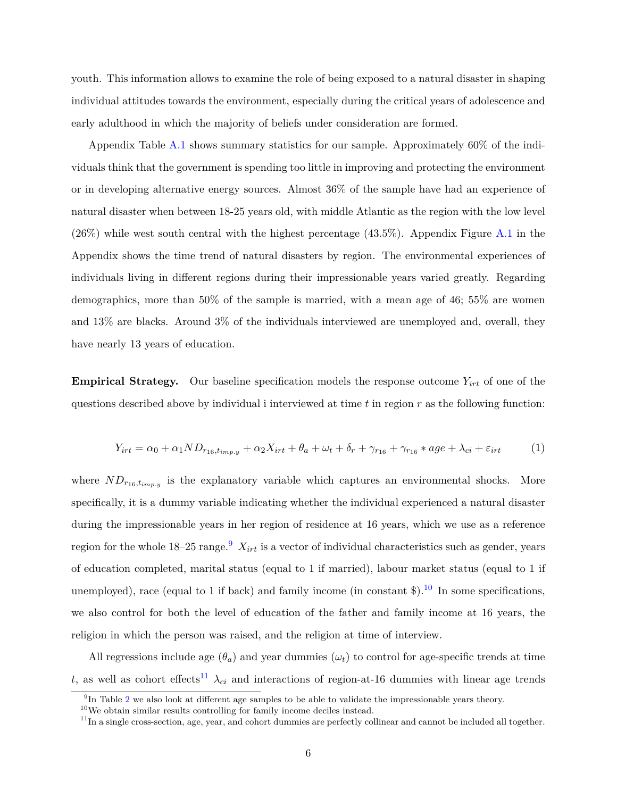youth. This information allows to examine the role of being exposed to a natural disaster in shaping individual attitudes towards the environment, especially during the critical years of adolescence and early adulthood in which the majority of beliefs under consideration are formed.

Appendix Table [A.1](#page-22-0) shows summary statistics for our sample. Approximately 60% of the individuals think that the government is spending too little in improving and protecting the environment or in developing alternative energy sources. Almost 36% of the sample have had an experience of natural disaster when between 18-25 years old, with middle Atlantic as the region with the low level  $(26\%)$  while west south central with the highest percentage  $(43.5\%)$ . Appendix Figure [A.1](#page-22-1) in the Appendix shows the time trend of natural disasters by region. The environmental experiences of individuals living in different regions during their impressionable years varied greatly. Regarding demographics, more than 50% of the sample is married, with a mean age of 46; 55% are women and 13% are blacks. Around 3% of the individuals interviewed are unemployed and, overall, they have nearly 13 years of education.

**Empirical Strategy.** Our baseline specification models the response outcome *Yirt* of one of the questions described above by individual i interviewed at time *t* in region *r* as the following function:

$$
Y_{irt} = \alpha_0 + \alpha_1 N D_{r_{16}, t_{imp,y}} + \alpha_2 X_{irt} + \theta_a + \omega_t + \delta_r + \gamma_{r_{16}} + \gamma_{r_{16}} * age + \lambda_{ci} + \varepsilon_{irt} \tag{1}
$$

where  $ND_{r_{16},t_{imp,y}}$  is the explanatory variable which captures an environmental shocks. More specifically, it is a dummy variable indicating whether the individual experienced a natural disaster during the impressionable years in her region of residence at 16 years, which we use as a reference region for the whole  $18-25$  range.<sup>[9](#page-6-0)</sup>  $X_{irt}$  is a vector of individual characteristics such as gender, years of education completed, marital status (equal to 1 if married), labour market status (equal to 1 if unemployed), race (equal to 1 if back) and family income (in constant  $\mathcal{F}$ ). <sup>[10](#page-6-1)</sup> In some specifications, we also control for both the level of education of the father and family income at 16 years, the religion in which the person was raised, and the religion at time of interview.

All regressions include age  $(\theta_a)$  and year dummies  $(\omega_t)$  to control for age-specific trends at time *t*, as well as cohort effects<sup>[11](#page-6-2)</sup>  $\lambda_{ci}$  and interactions of region-at-16 dummies with linear age trends

<span id="page-6-0"></span><sup>&</sup>lt;sup>9</sup>In Table [2](#page-10-0) we also look at different age samples to be able to validate the impressionable years theory.

<span id="page-6-1"></span><sup>10</sup>We obtain similar results controlling for family income deciles instead.

<span id="page-6-2"></span> $11$ In a single cross-section, age, year, and cohort dummies are perfectly collinear and cannot be included all together.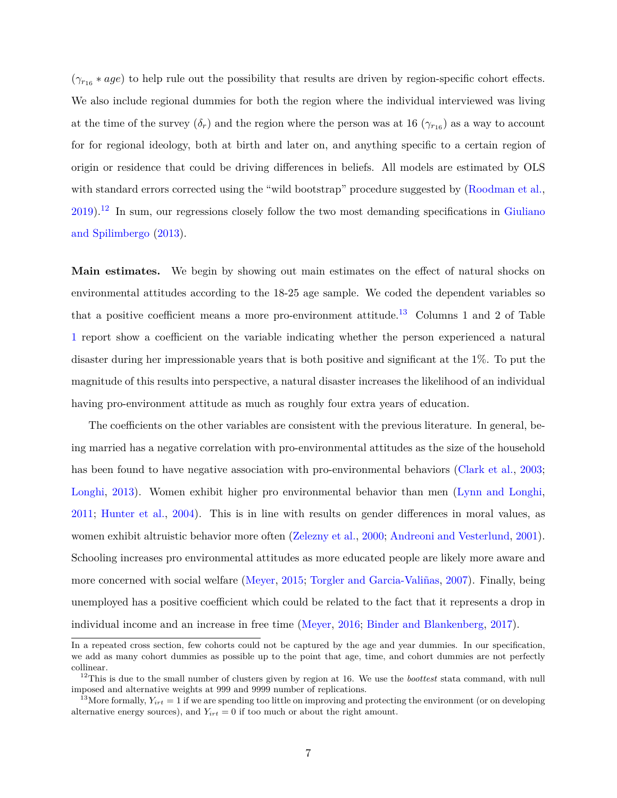$(\gamma_{r_{16}} * age)$  to help rule out the possibility that results are driven by region-specific cohort effects. We also include regional dummies for both the region where the individual interviewed was living at the time of the survey  $(\delta_r)$  and the region where the person was at 16  $(\gamma_{r_16})$  as a way to account for for regional ideology, both at birth and later on, and anything specific to a certain region of origin or residence that could be driving differences in beliefs. All models are estimated by OLS with standard errors corrected using the "wild bootstrap" procedure suggested by [\(Roodman et al.,](#page-20-4) [2019\)](#page-20-4).[12](#page-7-0) In sum, our regressions closely follow the two most demanding specifications in [Giuliano](#page-19-5) [and Spilimbergo](#page-19-5) [\(2013\)](#page-19-5).

**Main estimates.** We begin by showing out main estimates on the effect of natural shocks on environmental attitudes according to the 18-25 age sample. We coded the dependent variables so that a positive coefficient means a more pro-environment attitude.<sup>[13](#page-7-1)</sup> Columns 1 and 2 of Table [1](#page-9-0) report show a coefficient on the variable indicating whether the person experienced a natural disaster during her impressionable years that is both positive and significant at the 1%. To put the magnitude of this results into perspective, a natural disaster increases the likelihood of an individual having pro-environment attitude as much as roughly four extra years of education.

The coefficients on the other variables are consistent with the previous literature. In general, being married has a negative correlation with pro-environmental attitudes as the size of the household has been found to have negative association with pro-environmental behaviors [\(Clark et al.,](#page-18-5) [2003;](#page-18-5) [Longhi,](#page-20-5) [2013\)](#page-20-5). Women exhibit higher pro environmental behavior than men [\(Lynn and Longhi,](#page-20-6) [2011;](#page-20-6) [Hunter et al.,](#page-19-6) [2004\)](#page-19-6). This is in line with results on gender differences in moral values, as women exhibit altruistic behavior more often [\(Zelezny et al.,](#page-21-6) [2000;](#page-21-6) [Andreoni and Vesterlund,](#page-18-6) [2001\)](#page-18-6). Schooling increases pro environmental attitudes as more educated people are likely more aware and more concerned with social welfare [\(Meyer,](#page-20-7) [2015;](#page-20-7) [Torgler and Garcia-Valiñas,](#page-21-7) [2007\)](#page-21-7). Finally, being unemployed has a positive coefficient which could be related to the fact that it represents a drop in individual income and an increase in free time [\(Meyer,](#page-20-8) [2016;](#page-20-8) [Binder and Blankenberg,](#page-18-7) [2017\)](#page-18-7).

In a repeated cross section, few cohorts could not be captured by the age and year dummies. In our specification, we add as many cohort dummies as possible up to the point that age, time, and cohort dummies are not perfectly collinear.

<span id="page-7-0"></span><sup>12</sup>This is due to the small number of clusters given by region at 16. We use the *boottest* stata command, with null imposed and alternative weights at 999 and 9999 number of replications.

<span id="page-7-1"></span><sup>&</sup>lt;sup>13</sup>More formally,  $Y_{irt} = 1$  if we are spending too little on improving and protecting the environment (or on developing alternative energy sources), and  $Y_{irt} = 0$  if too much or about the right amount.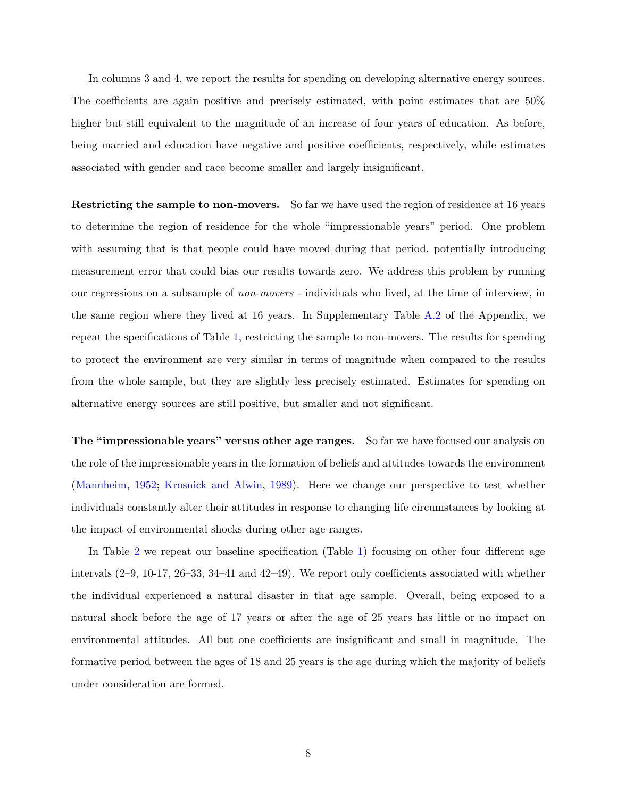In columns 3 and 4, we report the results for spending on developing alternative energy sources. The coefficients are again positive and precisely estimated, with point estimates that are 50% higher but still equivalent to the magnitude of an increase of four years of education. As before, being married and education have negative and positive coefficients, respectively, while estimates associated with gender and race become smaller and largely insignificant.

**Restricting the sample to non-movers.** So far we have used the region of residence at 16 years to determine the region of residence for the whole "impressionable years" period. One problem with assuming that is that people could have moved during that period, potentially introducing measurement error that could bias our results towards zero. We address this problem by running our regressions on a subsample of *non-movers* - individuals who lived, at the time of interview, in the same region where they lived at 16 years. In Supplementary Table [A.2](#page-23-0) of the Appendix, we repeat the specifications of Table [1,](#page-9-0) restricting the sample to non-movers. The results for spending to protect the environment are very similar in terms of magnitude when compared to the results from the whole sample, but they are slightly less precisely estimated. Estimates for spending on alternative energy sources are still positive, but smaller and not significant.

**The "impressionable years" versus other age ranges.** So far we have focused our analysis on the role of the impressionable years in the formation of beliefs and attitudes towards the environment [\(Mannheim,](#page-20-9) [1952;](#page-20-9) [Krosnick and Alwin,](#page-20-0) [1989\)](#page-20-0). Here we change our perspective to test whether individuals constantly alter their attitudes in response to changing life circumstances by looking at the impact of environmental shocks during other age ranges.

In Table [2](#page-10-0) we repeat our baseline specification (Table [1\)](#page-9-0) focusing on other four different age intervals (2–9, 10-17, 26–33, 34–41 and 42–49). We report only coefficients associated with whether the individual experienced a natural disaster in that age sample. Overall, being exposed to a natural shock before the age of 17 years or after the age of 25 years has little or no impact on environmental attitudes. All but one coefficients are insignificant and small in magnitude. The formative period between the ages of 18 and 25 years is the age during which the majority of beliefs under consideration are formed.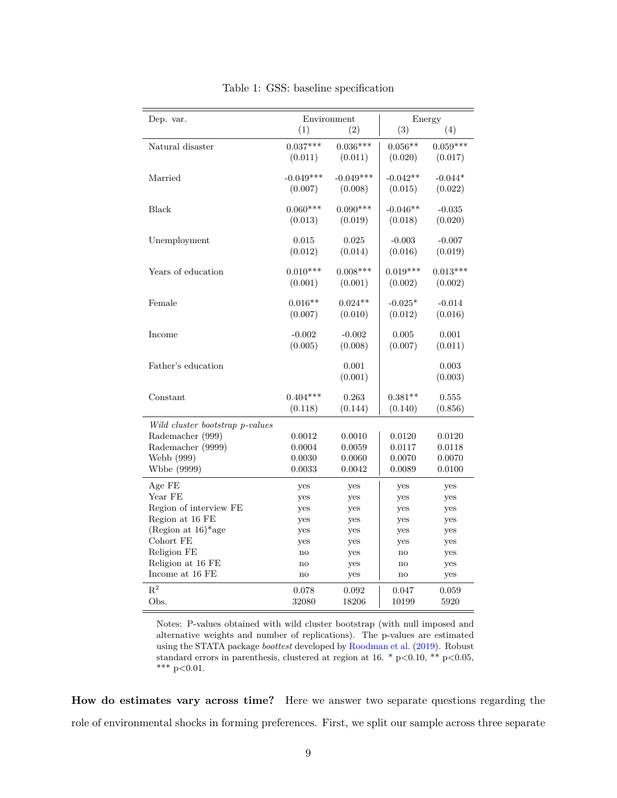<span id="page-9-0"></span>

| Dep. var.                        |                        | Environment |                        | Energy     |  |  |
|----------------------------------|------------------------|-------------|------------------------|------------|--|--|
|                                  | (1)                    | (2)         | (3)                    | (4)        |  |  |
| Natural disaster                 | $0.037***$             | $0.036***$  | $0.056**$              | $0.059***$ |  |  |
|                                  | (0.011)                | (0.011)     | (0.020)                | (0.017)    |  |  |
| Married                          | $-0.049***$            | $-0.049***$ | $-0.042**$             | $-0.044*$  |  |  |
|                                  | (0.007)                | (0.008)     | (0.015)                | (0.022)    |  |  |
| Black                            | $0.060***$             | $0.090***$  | $-0.046**$             | $-0.035$   |  |  |
|                                  | (0.013)                | (0.019)     | (0.018)                | (0.020)    |  |  |
| Unemployment                     | 0.015                  | 0.025       | $-0.003$               | $-0.007$   |  |  |
|                                  | (0.012)                | (0.014)     | (0.016)                | (0.019)    |  |  |
| Years of education               | $0.010***$             | $0.008***$  | $0.019***$             | $0.013***$ |  |  |
|                                  | (0.001)                | (0.001)     | (0.002)                | (0.002)    |  |  |
| Female                           | $0.016**$              | $0.024**$   | $-0.025*$              | $-0.014$   |  |  |
|                                  | (0.007)                | (0.010)     | (0.012)                | (0.016)    |  |  |
| Income                           | $-0.002$               | $-0.002$    | 0.005                  | 0.001      |  |  |
|                                  | (0.005)                | (0.008)     | (0.007)                | (0.011)    |  |  |
| Father's education               |                        | 0.001       |                        | 0.003      |  |  |
|                                  |                        | (0.001)     |                        | (0.003)    |  |  |
| Constant                         | $0.404***$             | 0.263       | $0.381**$              | 0.555      |  |  |
|                                  | (0.118)                | (0.144)     | (0.140)                | (0.856)    |  |  |
| Wild cluster bootstrap p-values  |                        |             |                        |            |  |  |
| Rademacher (999)                 | 0.0012                 | 0.0010      | 0.0120                 | 0.0120     |  |  |
| Rademacher (9999)                | 0.0004                 | 0.0059      | 0.0117                 | 0.0118     |  |  |
| Webb (999)                       | 0.0030                 | 0.0060      | 0.0070                 | 0.0070     |  |  |
| Wbbe (9999)                      | 0.0033                 | 0.0042      | 0.0089                 | 0.0100     |  |  |
| Age FE                           | yes                    | yes         | yes                    | yes        |  |  |
| Year FE                          | yes                    | yes         | yes                    | yes        |  |  |
| Region of interview FE           | yes                    | yes         | yes                    | yes        |  |  |
| Region at 16 FE                  | yes                    | yes         | yes                    | yes        |  |  |
| (Region at $16$ <sup>*</sup> age | yes                    | yes         | yes                    | yes        |  |  |
| Cohort FE                        | yes                    | yes         | yes                    | yes        |  |  |
| Religion FE                      | no                     | yes         | $\mathbf{no}$          | yes        |  |  |
| Religion at 16 FE                | no                     | yes         | no                     | yes        |  |  |
| Income at 16 FE                  | $\mathop{\mathrm{no}}$ | yes         | $\mathop{\mathrm{no}}$ | yes        |  |  |
| $\mathbf{R}^2$                   | 0.078                  | 0.092       | 0.047                  | 0.059      |  |  |
| Obs.                             | 32080                  | 18206       | 10199                  | 5920       |  |  |

Table 1: GSS: baseline specification

Notes: P-values obtained with wild cluster bootstrap (with null imposed and alternative weights and number of replications). The p-values are estimated using the STATA package *boottest* developed by [Roodman et al.](#page-20-4) [\(2019\)](#page-20-4). Robust standard errors in parenthesis, clustered at region at 16. \* p<0.10, \*\* p<0.05, \*\*\*  $p<0.01$ .

**How do estimates vary across time?** Here we answer two separate questions regarding the role of environmental shocks in forming preferences. First, we split our sample across three separate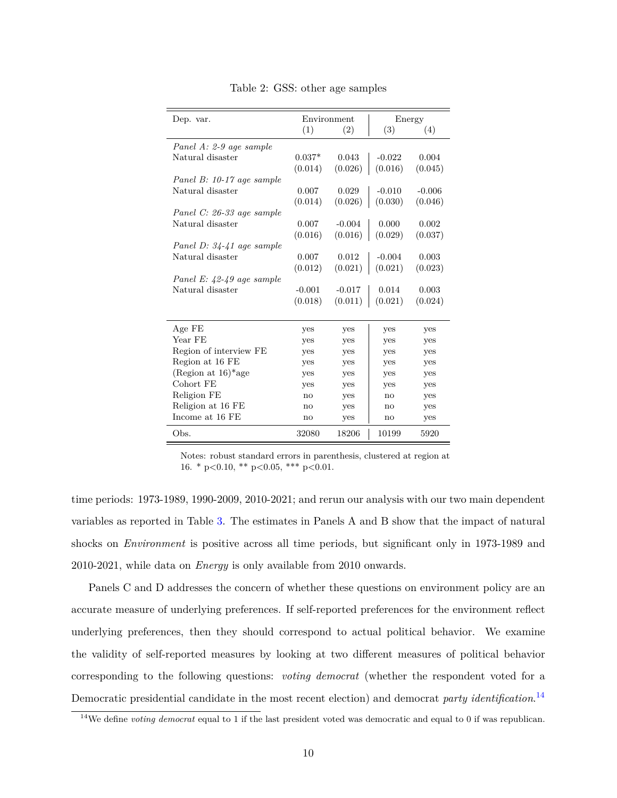<span id="page-10-0"></span>

| Dep. var.                         |              | Environment | Energy                 |          |
|-----------------------------------|--------------|-------------|------------------------|----------|
|                                   | (1)          | (2)         | (3)                    | (4)      |
| Panel A: 2-9 age sample           |              |             |                        |          |
| Natural disaster                  | $0.037*$     | 0.043       | $-0.022$               | 0.004    |
|                                   | (0.014)      | (0.026)     | (0.016)                | (0.045)  |
| Panel B: 10-17 age sample         |              |             |                        |          |
| Natural disaster                  | 0.007        | 0.029       | $-0.010$               | $-0.006$ |
|                                   | (0.014)      | (0.026)     | (0.030)                | (0.046)  |
| Panel C: 26-33 age sample         |              |             |                        |          |
| Natural disaster                  | 0.007        | $-0.004$    | 0.000                  | 0.002    |
|                                   | (0.016)      | (0.016)     | (0.029)                | (0.037)  |
| Panel D: 34-41 age sample         |              |             |                        |          |
| Natural disaster                  | 0.007        | 0.012       | $-0.004$               | 0.003    |
|                                   | (0.012)      | (0.021)     | (0.021)                | (0.023)  |
| Panel E: $42-49$ age sample       |              |             |                        |          |
| Natural disaster                  | $-0.001$     | $-0.017$    | 0.014                  | 0.003    |
|                                   | (0.018)      |             | $(0.011)$ $(0.021)$    | (0.024)  |
|                                   |              |             |                        |          |
| Age FE                            | yes          | yes         | yes                    | yes      |
| Year FE                           | yes          | yes         | yes                    | yes      |
| Region of interview FE            | yes          | yes         | yes                    | yes      |
| Region at 16 FE                   | yes          | yes         | yes                    | yes      |
| (Region at $16$ <sup>*</sup> age) | yes          | yes         | yes                    | yes      |
| Cohort FE                         | yes          | yes         | yes                    | yes      |
| Religion FE                       | $\mathbf{n}$ | yes         | $\mathbf{n}\mathbf{o}$ | yes      |
| Religion at 16 FE                 | no           | yes         | no                     | yes      |
| Income at 16 FE                   | $\mathbf{n}$ | yes         | no                     | yes      |
| Obs.                              | 32080        | 18206       | 10199                  | 5920     |

Table 2: GSS: other age samples

Notes: robust standard errors in parenthesis, clustered at region at 16. \* p<0.10, \*\* p<0.05, \*\*\* p<0.01.

time periods: 1973-1989, 1990-2009, 2010-2021; and rerun our analysis with our two main dependent variables as reported in Table [3.](#page-11-0) The estimates in Panels A and B show that the impact of natural shocks on *Environment* is positive across all time periods, but significant only in 1973-1989 and 2010-2021, while data on *Energy* is only available from 2010 onwards.

Panels C and D addresses the concern of whether these questions on environment policy are an accurate measure of underlying preferences. If self-reported preferences for the environment reflect underlying preferences, then they should correspond to actual political behavior. We examine the validity of self-reported measures by looking at two different measures of political behavior corresponding to the following questions: *voting democrat* (whether the respondent voted for a Democratic presidential candidate in the most recent election) and democrat *party identification*. [14](#page-10-1)

<span id="page-10-1"></span><sup>14</sup>We define *voting democrat* equal to 1 if the last president voted was democratic and equal to 0 if was republican.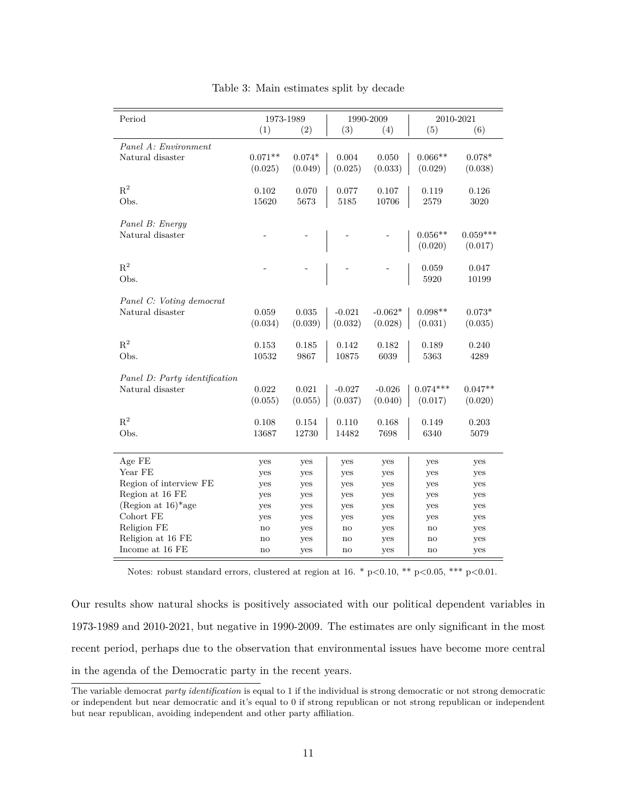<span id="page-11-0"></span>

| Period                           | 1973-1989 |          | 1990-2009 |           | 2010-2021  |            |
|----------------------------------|-----------|----------|-----------|-----------|------------|------------|
|                                  | (1)       | (2)      | (3)       | (4)       | (5)        | (6)        |
| Panel A: Environment             |           |          |           |           |            |            |
| Natural disaster                 | $0.071**$ | $0.074*$ | 0.004     | 0.050     | $0.066**$  | $0.078*$   |
|                                  | (0.025)   | (0.049)  | (0.025)   | (0.033)   | (0.029)    | (0.038)    |
|                                  |           |          |           |           |            |            |
| $\mathbf{R}^2$                   | 0.102     | 0.070    | 0.077     | 0.107     | 0.119      | 0.126      |
| Obs.                             | 15620     | 5673     | 5185      | 10706     | 2579       | 3020       |
|                                  |           |          |           |           |            |            |
| Panel B: Energy                  |           |          |           |           |            |            |
| Natural disaster                 |           |          |           |           | $0.056**$  | $0.059***$ |
|                                  |           |          |           |           | (0.020)    | (0.017)    |
| $R^2$                            |           |          |           |           | 0.059      | 0.047      |
| Obs.                             |           |          |           |           | 5920       | 10199      |
|                                  |           |          |           |           |            |            |
| Panel C: Voting democrat         |           |          |           |           |            |            |
| Natural disaster                 | 0.059     | 0.035    | $-0.021$  | $-0.062*$ | $0.098**$  | $0.073*$   |
|                                  | (0.034)   | (0.039)  | (0.032)   | (0.028)   | (0.031)    | (0.035)    |
|                                  |           |          |           |           |            |            |
| $R^2$                            | 0.153     | 0.185    | 0.142     | 0.182     | 0.189      | 0.240      |
| Obs.                             | 10532     | 9867     | 10875     | 6039      | 5363       | 4289       |
|                                  |           |          |           |           |            |            |
| Panel D: Party identification    |           |          |           |           |            |            |
| Natural disaster                 | 0.022     | 0.021    | $-0.027$  | $-0.026$  | $0.074***$ | $0.047**$  |
|                                  | (0.055)   | (0.055)  | (0.037)   | (0.040)   | (0.017)    | (0.020)    |
| $R^2$                            | 0.108     | 0.154    | 0.110     | 0.168     | 0.149      | 0.203      |
| Obs.                             | 13687     | 12730    | 14482     | 7698      | 6340       | 5079       |
|                                  |           |          |           |           |            |            |
| Age FE                           | yes       | yes      | yes       | yes       | yes        |            |
| Year FE                          | yes       | yes      | yes       | yes       | yes        | yes<br>yes |
| Region of interview FE           | yes       | yes      | yes       | yes       | yes        | yes        |
| Region at 16 FE                  | yes       | yes      | yes       | yes       | yes        | yes        |
| (Region at $16$ <sup>*</sup> age | yes       | yes      | yes       | yes       | yes        | yes        |
| Cohort FE                        | yes       | yes      | yes       | yes       | yes        | yes        |
| Religion FE                      | no        | yes      | no        | yes       | no         | yes        |
| Religion at 16 FE                | no        | yes      | no        | yes       | no         | yes        |
| Income at $16$ $\rm FE$          | no        | yes      | no        | yes       | no         | yes        |

|  |  | Table 3: Main estimates split by decade |  |  |  |
|--|--|-----------------------------------------|--|--|--|
|--|--|-----------------------------------------|--|--|--|

Notes: robust standard errors, clustered at region at  $16. * p < 0.10, ** p < 0.05, ** p < 0.01$ .

Our results show natural shocks is positively associated with our political dependent variables in 1973-1989 and 2010-2021, but negative in 1990-2009. The estimates are only significant in the most recent period, perhaps due to the observation that environmental issues have become more central in the agenda of the Democratic party in the recent years.

The variable democrat *party identification* is equal to 1 if the individual is strong democratic or not strong democratic or independent but near democratic and it's equal to 0 if strong republican or not strong republican or independent but near republican, avoiding independent and other party affiliation.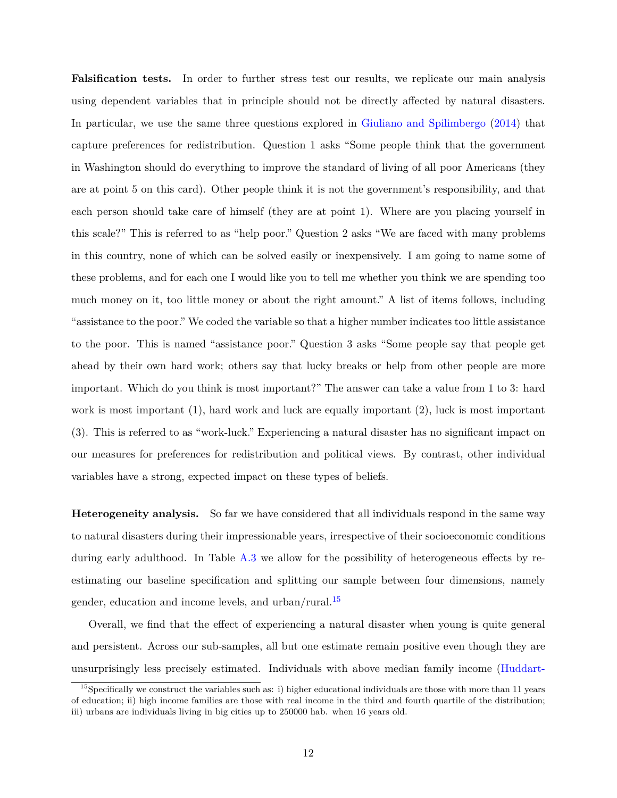**Falsification tests.** In order to further stress test our results, we replicate our main analysis using dependent variables that in principle should not be directly affected by natural disasters. In particular, we use the same three questions explored in [Giuliano and Spilimbergo](#page-19-1) [\(2014\)](#page-19-1) that capture preferences for redistribution. Question 1 asks "Some people think that the government in Washington should do everything to improve the standard of living of all poor Americans (they are at point 5 on this card). Other people think it is not the government's responsibility, and that each person should take care of himself (they are at point 1). Where are you placing yourself in this scale?" This is referred to as "help poor." Question 2 asks "We are faced with many problems in this country, none of which can be solved easily or inexpensively. I am going to name some of these problems, and for each one I would like you to tell me whether you think we are spending too much money on it, too little money or about the right amount." A list of items follows, including "assistance to the poor." We coded the variable so that a higher number indicates too little assistance to the poor. This is named "assistance poor." Question 3 asks "Some people say that people get ahead by their own hard work; others say that lucky breaks or help from other people are more important. Which do you think is most important?" The answer can take a value from 1 to 3: hard work is most important (1), hard work and luck are equally important (2), luck is most important (3). This is referred to as "work-luck." Experiencing a natural disaster has no significant impact on our measures for preferences for redistribution and political views. By contrast, other individual variables have a strong, expected impact on these types of beliefs.

**Heterogeneity analysis.** So far we have considered that all individuals respond in the same way to natural disasters during their impressionable years, irrespective of their socioeconomic conditions during early adulthood. In Table [A.3](#page-24-0) we allow for the possibility of heterogeneous effects by reestimating our baseline specification and splitting our sample between four dimensions, namely gender, education and income levels, and urban/rural.[15](#page-12-0)

Overall, we find that the effect of experiencing a natural disaster when young is quite general and persistent. Across our sub-samples, all but one estimate remain positive even though they are unsurprisingly less precisely estimated. Individuals with above median family income [\(Huddart-](#page-19-7)

<span id="page-12-0"></span> $15$ [Specifically we construct the variables such as: i\) higher educational individuals are those with more than 11 years](#page-19-7) [of education; ii\) high income families are those with real income in the third and fourth quartile of the distribution;](#page-19-7) [iii\) urbans are individuals living in big cities up to 250000 hab. when 16 years old.](#page-19-7)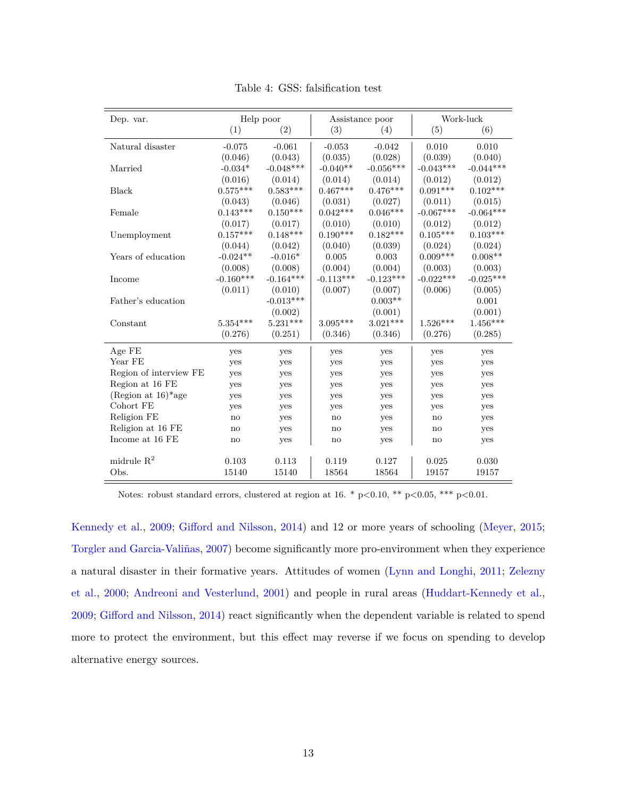| Dep. var.                         |               | Help poor   |             | Assistance poor |             | Work-luck   |  |
|-----------------------------------|---------------|-------------|-------------|-----------------|-------------|-------------|--|
|                                   | (1)           | (2)         | (3)         | (4)             | (5)         | (6)         |  |
| Natural disaster                  | $-0.075$      | $-0.061$    | $-0.053$    | $-0.042$        | 0.010       | 0.010       |  |
|                                   | (0.046)       | (0.043)     | (0.035)     | (0.028)         | (0.039)     | (0.040)     |  |
| Married                           | $-0.034*$     | $-0.048***$ | $-0.040**$  | $-0.056***$     | $-0.043***$ | $-0.044***$ |  |
|                                   | (0.016)       | (0.014)     | (0.014)     | (0.014)         | (0.012)     | (0.012)     |  |
| Black                             | $0.575***$    | $0.583***$  | $0.467***$  | $0.476***$      | $0.091***$  | $0.102***$  |  |
|                                   | (0.043)       | (0.046)     | (0.031)     | (0.027)         | (0.011)     | (0.015)     |  |
| Female                            | $0.143***$    | $0.150***$  | $0.042***$  | $0.046***$      | $-0.067***$ | $-0.064***$ |  |
|                                   | (0.017)       | (0.017)     | (0.010)     | (0.010)         | (0.012)     | (0.012)     |  |
| Unemployment                      | $0.157***$    | $0.148***$  | $0.190***$  | $0.182***$      | $0.105***$  | $0.103***$  |  |
|                                   | (0.044)       | (0.042)     | (0.040)     | (0.039)         | (0.024)     | (0.024)     |  |
| Years of education                | $-0.024**$    | $-0.016*$   | 0.005       | 0.003           | $0.009***$  | $0.008**$   |  |
|                                   | (0.008)       | (0.008)     | (0.004)     | (0.004)         | (0.003)     | (0.003)     |  |
| Income                            | $-0.160***$   | $-0.164***$ | $-0.113***$ | $-0.123***$     | $-0.022***$ | $-0.025***$ |  |
|                                   | (0.011)       | (0.010)     | (0.007)     | (0.007)         | (0.006)     | (0.005)     |  |
| Father's education                |               | $-0.013***$ |             | $0.003**$       |             | 0.001       |  |
|                                   |               | (0.002)     |             | (0.001)         |             | (0.001)     |  |
| Constant                          | $5.354***$    | $5.231***$  | $3.095***$  | $3.021***$      | $1.526***$  | $1.456***$  |  |
|                                   | (0.276)       | (0.251)     | (0.346)     | (0.346)         | (0.276)     | (0.285)     |  |
| Age FE                            | yes           | yes         | yes         | yes             | yes         | yes         |  |
| Year FE                           | yes           | yes         | yes         | yes             | yes         | yes         |  |
| Region of interview FE            | yes           | yes         | yes         | yes             | yes         | yes         |  |
| Region at 16 FE                   | yes           | yes         | yes         | yes             | yes         | yes         |  |
| (Region at $16$ <sup>*</sup> age) | yes           | yes         | yes         | yes             | yes         | yes         |  |
| Cohort FE                         | yes           | yes         | yes         | yes             | yes         | yes         |  |
| Religion FE                       | no            | yes         | no          | yes             | no          | yes         |  |
| Religion at 16 FE                 | no            | yes         | no          | yes             | no          | yes         |  |
| Income at 16 FE                   | $\mathbf{no}$ | yes         | no          | yes             | no          | yes         |  |
| midrule $R^2$                     | 0.103         | 0.113       | 0.119       | 0.127           | 0.025       | 0.030       |  |
| Obs.                              | 15140         | 15140       | 18564       | 18564           | 19157       | 19157       |  |
|                                   |               |             |             |                 |             |             |  |

Table 4: GSS: falsification test

Notes: robust standard errors, clustered at region at 16. \*  $p<0.10$ , \*\*  $p<0.05$ , \*\*\*  $p<0.01$ .

[Kennedy et al.,](#page-19-7) [2009;](#page-19-7) [Gifford and Nilsson,](#page-19-8) [2014\)](#page-19-8) and 12 or more years of schooling [\(Meyer,](#page-20-7) [2015;](#page-20-7) [Torgler and Garcia-Valiñas,](#page-21-7) [2007\)](#page-21-7) become significantly more pro-environment when they experience a natural disaster in their formative years. Attitudes of women [\(Lynn and Longhi,](#page-20-6) [2011;](#page-20-6) [Zelezny](#page-21-6) [et al.,](#page-21-6) [2000;](#page-21-6) [Andreoni and Vesterlund,](#page-18-6) [2001\)](#page-18-6) and people in rural areas [\(Huddart-Kennedy et al.,](#page-19-7) [2009;](#page-19-7) [Gifford and Nilsson,](#page-19-8) [2014\)](#page-19-8) react significantly when the dependent variable is related to spend more to protect the environment, but this effect may reverse if we focus on spending to develop alternative energy sources.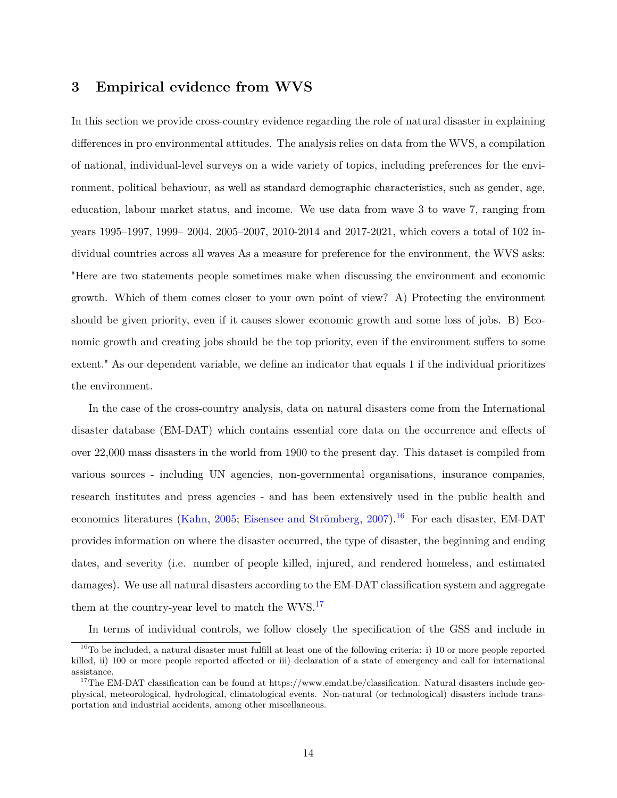#### <span id="page-14-0"></span>**3 Empirical evidence from WVS**

In this section we provide cross-country evidence regarding the role of natural disaster in explaining differences in pro environmental attitudes. The analysis relies on data from the WVS, a compilation of national, individual-level surveys on a wide variety of topics, including preferences for the environment, political behaviour, as well as standard demographic characteristics, such as gender, age, education, labour market status, and income. We use data from wave 3 to wave 7, ranging from years 1995–1997, 1999– 2004, 2005–2007, 2010-2014 and 2017-2021, which covers a total of 102 individual countries across all waves As a measure for preference for the environment, the WVS asks: "Here are two statements people sometimes make when discussing the environment and economic growth. Which of them comes closer to your own point of view? A) Protecting the environment should be given priority, even if it causes slower economic growth and some loss of jobs. B) Economic growth and creating jobs should be the top priority, even if the environment suffers to some extent." As our dependent variable, we define an indicator that equals 1 if the individual prioritizes the environment.

In the case of the cross-country analysis, data on natural disasters come from the International disaster database (EM-DAT) which contains essential core data on the occurrence and effects of over 22,000 mass disasters in the world from 1900 to the present day. This dataset is compiled from various sources - including UN agencies, non-governmental organisations, insurance companies, research institutes and press agencies - and has been extensively used in the public health and economics literatures [\(Kahn,](#page-20-10) [2005;](#page-20-10) [Eisensee and Strömberg,](#page-19-9) [2007\)](#page-19-9).<sup>[16](#page-14-1)</sup> For each disaster, EM-DAT provides information on where the disaster occurred, the type of disaster, the beginning and ending dates, and severity (i.e. number of people killed, injured, and rendered homeless, and estimated damages). We use all natural disasters according to the EM-DAT classification system and aggregate them at the country-year level to match the WVS.<sup>[17](#page-14-2)</sup>

In terms of individual controls, we follow closely the specification of the GSS and include in

<span id="page-14-1"></span> $16$ To be included, a natural disaster must fulfill at least one of the following criteria: i) 10 or more people reported killed, ii) 100 or more people reported affected or iii) declaration of a state of emergency and call for international assistance.

<span id="page-14-2"></span><sup>&</sup>lt;sup>17</sup>The EM-DAT classification can be found at https://www.emdat.be/classification. Natural disasters include geophysical, meteorological, hydrological, climatological events. Non-natural (or technological) disasters include transportation and industrial accidents, among other miscellaneous.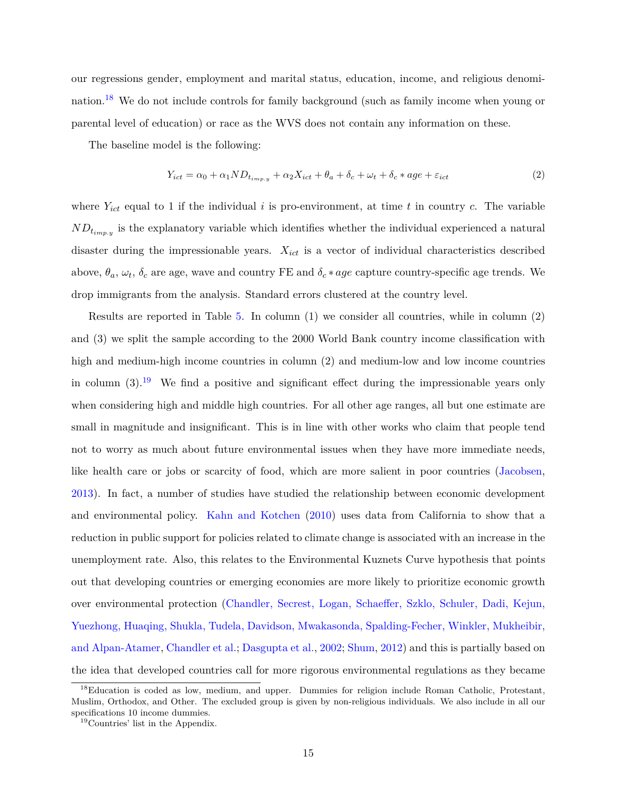our regressions gender, employment and marital status, education, income, and religious denomination.[18](#page-15-0) We do not include controls for family background (such as family income when young or parental level of education) or race as the WVS does not contain any information on these.

The baseline model is the following:

$$
Y_{ict} = \alpha_0 + \alpha_1 ND_{t_{imp,y}} + \alpha_2 X_{ict} + \theta_a + \delta_c + \omega_t + \delta_c * age + \varepsilon_{ict}
$$
\n
$$
\tag{2}
$$

where  $Y_{ict}$  equal to 1 if the individual *i* is pro-environment, at time *t* in country *c*. The variable  $ND_{t_{imp,y}}$  is the explanatory variable which identifies whether the individual experienced a natural disaster during the impressionable years. *Xict* is a vector of individual characteristics described above,  $\theta_a$ ,  $\omega_t$ ,  $\delta_c$  are age, wave and country FE and  $\delta_c * age$  capture country-specific age trends. We drop immigrants from the analysis. Standard errors clustered at the country level.

Results are reported in Table [5.](#page-16-0) In column (1) we consider all countries, while in column (2) and (3) we split the sample according to the 2000 World Bank country income classification with high and medium-high income countries in column (2) and medium-low and low income countries in column  $(3)$ .<sup>[19](#page-15-1)</sup> We find a positive and significant effect during the impressionable years only when considering high and middle high countries. For all other age ranges, all but one estimate are small in magnitude and insignificant. This is in line with other works who claim that people tend not to worry as much about future environmental issues when they have more immediate needs, like health care or jobs or scarcity of food, which are more salient in poor countries [\(Jacobsen,](#page-19-10) [2013\)](#page-19-10). In fact, a number of studies have studied the relationship between economic development and environmental policy. [Kahn and Kotchen](#page-20-11) [\(2010\)](#page-20-11) uses data from California to show that a reduction in public support for policies related to climate change is associated with an increase in the unemployment rate. Also, this relates to the Environmental Kuznets Curve hypothesis that points out that developing countries or emerging economies are more likely to prioritize economic growth over environmental protection [\(Chandler, Secrest, Logan, Schaeffer, Szklo, Schuler, Dadi, Kejun,](#page-18-8) [Yuezhong, Huaqing, Shukla, Tudela, Davidson, Mwakasonda, Spalding-Fecher, Winkler, Mukheibir,](#page-18-8) [and Alpan-Atamer,](#page-18-8) [Chandler et al.;](#page-18-8) [Dasgupta et al.,](#page-18-9) [2002;](#page-18-9) [Shum,](#page-21-8) [2012\)](#page-21-8) and this is partially based on the idea that developed countries call for more rigorous environmental regulations as they became

<span id="page-15-0"></span><sup>&</sup>lt;sup>18</sup>Education is coded as low, medium, and upper. Dummies for religion include Roman Catholic, Protestant, Muslim, Orthodox, and Other. The excluded group is given by non-religious individuals. We also include in all our specifications 10 income dummies.

<span id="page-15-1"></span><sup>19</sup>Countries' list in the Appendix.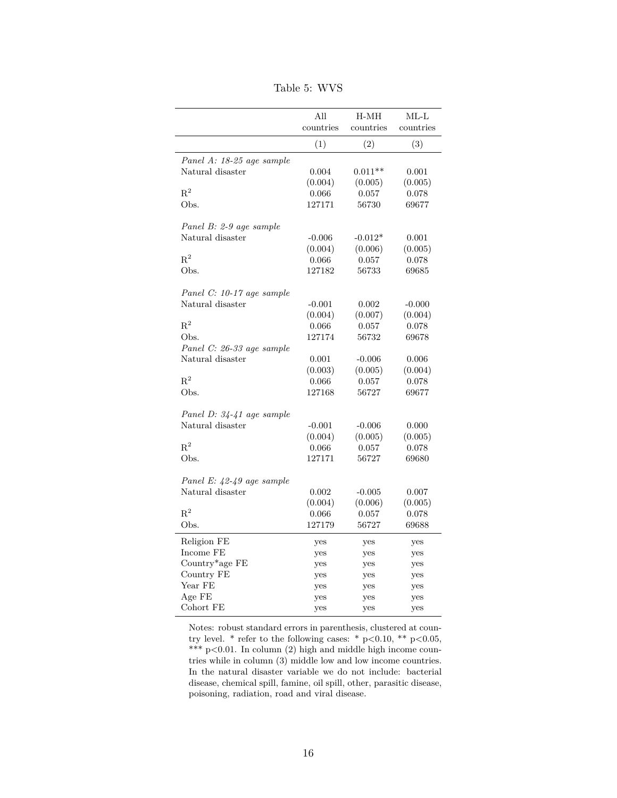<span id="page-16-0"></span>

|                                               | All       | $H-MH$    | $ML-L$    |
|-----------------------------------------------|-----------|-----------|-----------|
|                                               | countries | countries | countries |
|                                               | (1)       | (2)       | (3)       |
| Panel A: 18-25 age sample                     |           |           |           |
| Natural disaster                              | 0.004     | $0.011**$ | 0.001     |
|                                               | (0.004)   | (0.005)   | (0.005)   |
| $\mathbf{R}^2$                                | 0.066     | 0.057     | 0.078     |
| Obs.                                          | 127171    | 56730     | 69677     |
| Panel B: 2-9 age sample                       |           |           |           |
| Natural disaster                              | $-0.006$  | $-0.012*$ | 0.001     |
|                                               | (0.004)   | (0.006)   | (0.005)   |
| $\mathbf{R}^2$                                | 0.066     | 0.057     | 0.078     |
| Obs.                                          | 127182    | 56733     | 69685     |
| Panel C: 10-17 age sample                     |           |           |           |
| Natural disaster                              | $-0.001$  | 0.002     | $-0.000$  |
|                                               | (0.004)   | (0.007)   | (0.004)   |
| $R^2$                                         | 0.066     | 0.057     | 0.078     |
| Obs.                                          | 127174    | 56732     | 69678     |
| Panel C: 26-33 age sample                     |           |           |           |
| Natural disaster                              | 0.001     | $-0.006$  | 0.006     |
|                                               | (0.003)   | (0.005)   | (0.004)   |
| $R^2$                                         | 0.066     | 0.057     | 0.078     |
| Obs.                                          | 127168    | 56727     | 69677     |
|                                               |           |           |           |
| Panel D: 34-41 age sample<br>Natural disaster | $-0.001$  | $-0.006$  | 0.000     |
|                                               | (0.004)   | (0.005)   | (0.005)   |
| $R^2$                                         | 0.066     | 0.057     | 0.078     |
| Obs.                                          | 127171    | 56727     | 69680     |
|                                               |           |           |           |
| Panel E: 42-49 age sample                     |           |           |           |
| Natural disaster                              | 0.002     | $-0.005$  | 0.007     |
|                                               | (0.004)   | (0.006)   | (0.005)   |
| $R^2$                                         | 0.066     | 0.057     | 0.078     |
| Obs.                                          | 127179    | 56727     | 69688     |
| Religion FE                                   | yes       | yes       | yes       |
| Income FE                                     | yes       | yes       | yes       |
| Country*age FE                                | yes       | yes       | yes       |
| Country FE                                    | yes       | yes       | yes       |
| Year FE                                       | yes       | yes       | yes       |
| Age FE                                        | yes       | yes       | yes       |
| Cohort FE                                     | yes       | yes       | yes       |

Table 5: WVS

Notes: robust standard errors in parenthesis, clustered at country level. \* refer to the following cases: \* p<0.10, \*\* p<0.05, \*\*\* p<0.01. In column (2) high and middle high income countries while in column (3) middle low and low income countries. In the natural disaster variable we do not include: bacterial disease, chemical spill, famine, oil spill, other, parasitic disease, poisoning, radiation, road and viral disease.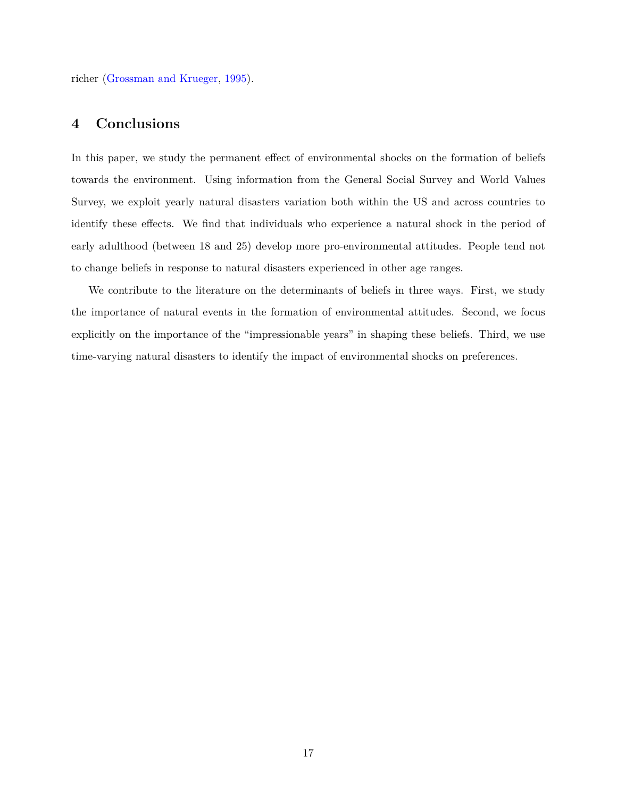richer [\(Grossman and Krueger,](#page-19-11) [1995\)](#page-19-11).

#### <span id="page-17-0"></span>**4 Conclusions**

In this paper, we study the permanent effect of environmental shocks on the formation of beliefs towards the environment. Using information from the General Social Survey and World Values Survey, we exploit yearly natural disasters variation both within the US and across countries to identify these effects. We find that individuals who experience a natural shock in the period of early adulthood (between 18 and 25) develop more pro-environmental attitudes. People tend not to change beliefs in response to natural disasters experienced in other age ranges.

We contribute to the literature on the determinants of beliefs in three ways. First, we study the importance of natural events in the formation of environmental attitudes. Second, we focus explicitly on the importance of the "impressionable years" in shaping these beliefs. Third, we use time-varying natural disasters to identify the impact of environmental shocks on preferences.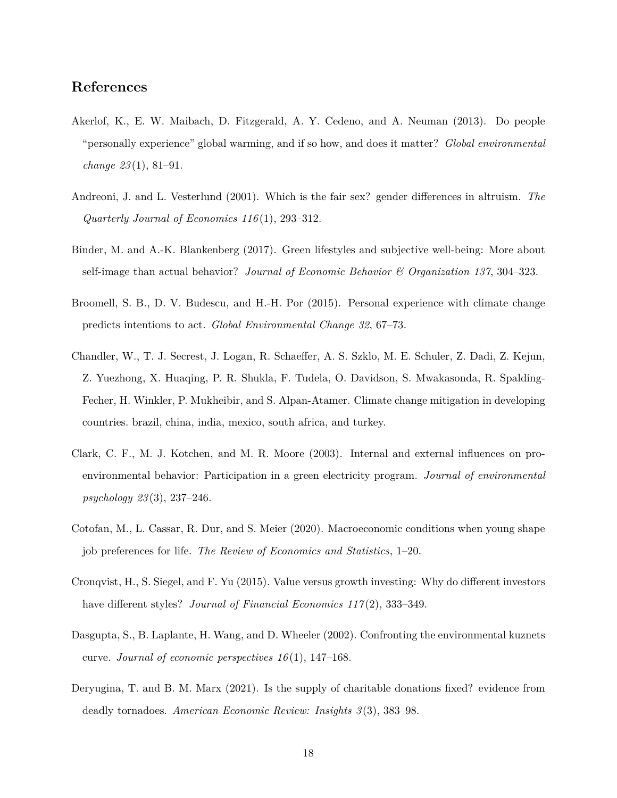#### **References**

- <span id="page-18-0"></span>Akerlof, K., E. W. Maibach, D. Fitzgerald, A. Y. Cedeno, and A. Neuman (2013). Do people "personally experience" global warming, and if so how, and does it matter? *Global environmental change 23* (1), 81–91.
- <span id="page-18-6"></span>Andreoni, J. and L. Vesterlund (2001). Which is the fair sex? gender differences in altruism. *The Quarterly Journal of Economics 116* (1), 293–312.
- <span id="page-18-7"></span>Binder, M. and A.-K. Blankenberg (2017). Green lifestyles and subjective well-being: More about self-image than actual behavior? *Journal of Economic Behavior & Organization 137*, 304–323.
- <span id="page-18-1"></span>Broomell, S. B., D. V. Budescu, and H.-H. Por (2015). Personal experience with climate change predicts intentions to act. *Global Environmental Change 32*, 67–73.
- <span id="page-18-8"></span>Chandler, W., T. J. Secrest, J. Logan, R. Schaeffer, A. S. Szklo, M. E. Schuler, Z. Dadi, Z. Kejun, Z. Yuezhong, X. Huaqing, P. R. Shukla, F. Tudela, O. Davidson, S. Mwakasonda, R. Spalding-Fecher, H. Winkler, P. Mukheibir, and S. Alpan-Atamer. Climate change mitigation in developing countries. brazil, china, india, mexico, south africa, and turkey.
- <span id="page-18-5"></span>Clark, C. F., M. J. Kotchen, and M. R. Moore (2003). Internal and external influences on proenvironmental behavior: Participation in a green electricity program. *Journal of environmental psychology 23* (3), 237–246.
- <span id="page-18-3"></span>Cotofan, M., L. Cassar, R. Dur, and S. Meier (2020). Macroeconomic conditions when young shape job preferences for life. *The Review of Economics and Statistics*, 1–20.
- <span id="page-18-4"></span>Cronqvist, H., S. Siegel, and F. Yu (2015). Value versus growth investing: Why do different investors have different styles? *Journal of Financial Economics 117(2)*, 333-349.
- <span id="page-18-9"></span>Dasgupta, S., B. Laplante, H. Wang, and D. Wheeler (2002). Confronting the environmental kuznets curve. *Journal of economic perspectives 16* (1), 147–168.
- <span id="page-18-2"></span>Deryugina, T. and B. M. Marx (2021). Is the supply of charitable donations fixed? evidence from deadly tornadoes. *American Economic Review: Insights 3* (3), 383–98.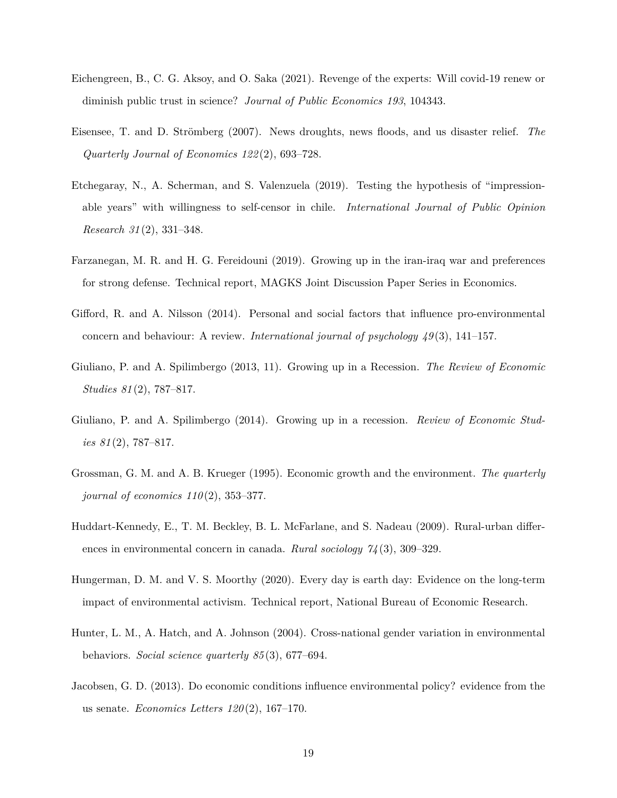- <span id="page-19-4"></span>Eichengreen, B., C. G. Aksoy, and O. Saka (2021). Revenge of the experts: Will covid-19 renew or diminish public trust in science? *Journal of Public Economics 193*, 104343.
- <span id="page-19-9"></span>Eisensee, T. and D. Strömberg (2007). News droughts, news floods, and us disaster relief. *The Quarterly Journal of Economics 122* (2), 693–728.
- <span id="page-19-2"></span>Etchegaray, N., A. Scherman, and S. Valenzuela (2019). Testing the hypothesis of "impressionable years" with willingness to self-censor in chile. *International Journal of Public Opinion Research 31* (2), 331–348.
- <span id="page-19-3"></span>Farzanegan, M. R. and H. G. Fereidouni (2019). Growing up in the iran-iraq war and preferences for strong defense. Technical report, MAGKS Joint Discussion Paper Series in Economics.
- <span id="page-19-8"></span>Gifford, R. and A. Nilsson (2014). Personal and social factors that influence pro-environmental concern and behaviour: A review. *International journal of psychology 49* (3), 141–157.
- <span id="page-19-5"></span>Giuliano, P. and A. Spilimbergo (2013, 11). Growing up in a Recession. *The Review of Economic Studies 81* (2), 787–817.
- <span id="page-19-1"></span>Giuliano, P. and A. Spilimbergo (2014). Growing up in a recession. *Review of Economic Studies 81* (2), 787–817.
- <span id="page-19-11"></span>Grossman, G. M. and A. B. Krueger (1995). Economic growth and the environment. *The quarterly journal of economics 110* (2), 353–377.
- <span id="page-19-7"></span>Huddart-Kennedy, E., T. M. Beckley, B. L. McFarlane, and S. Nadeau (2009). Rural-urban differences in environmental concern in canada. *Rural sociology 74* (3), 309–329.
- <span id="page-19-0"></span>Hungerman, D. M. and V. S. Moorthy (2020). Every day is earth day: Evidence on the long-term impact of environmental activism. Technical report, National Bureau of Economic Research.
- <span id="page-19-6"></span>Hunter, L. M., A. Hatch, and A. Johnson (2004). Cross-national gender variation in environmental behaviors. *Social science quarterly 85* (3), 677–694.
- <span id="page-19-10"></span>Jacobsen, G. D. (2013). Do economic conditions influence environmental policy? evidence from the us senate. *Economics Letters 120* (2), 167–170.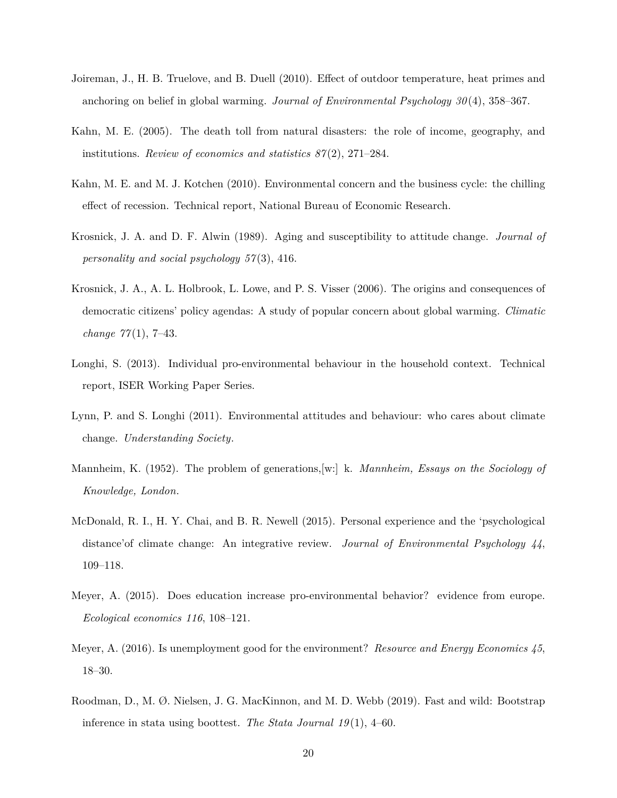- <span id="page-20-1"></span>Joireman, J., H. B. Truelove, and B. Duell (2010). Effect of outdoor temperature, heat primes and anchoring on belief in global warming. *Journal of Environmental Psychology 30* (4), 358–367.
- <span id="page-20-10"></span>Kahn, M. E. (2005). The death toll from natural disasters: the role of income, geography, and institutions. *Review of economics and statistics 87* (2), 271–284.
- <span id="page-20-11"></span>Kahn, M. E. and M. J. Kotchen (2010). Environmental concern and the business cycle: the chilling effect of recession. Technical report, National Bureau of Economic Research.
- <span id="page-20-0"></span>Krosnick, J. A. and D. F. Alwin (1989). Aging and susceptibility to attitude change. *Journal of personality and social psychology 57* (3), 416.
- <span id="page-20-2"></span>Krosnick, J. A., A. L. Holbrook, L. Lowe, and P. S. Visser (2006). The origins and consequences of democratic citizens' policy agendas: A study of popular concern about global warming. *Climatic change 77* (1), 7–43.
- <span id="page-20-5"></span>Longhi, S. (2013). Individual pro-environmental behaviour in the household context. Technical report, ISER Working Paper Series.
- <span id="page-20-6"></span>Lynn, P. and S. Longhi (2011). Environmental attitudes and behaviour: who cares about climate change. *Understanding Society*.
- <span id="page-20-9"></span>Mannheim, K. (1952). The problem of generations,[w:] k. *Mannheim, Essays on the Sociology of Knowledge, London*.
- <span id="page-20-3"></span>McDonald, R. I., H. Y. Chai, and B. R. Newell (2015). Personal experience and the 'psychological distance'of climate change: An integrative review. *Journal of Environmental Psychology 44*, 109–118.
- <span id="page-20-7"></span>Meyer, A. (2015). Does education increase pro-environmental behavior? evidence from europe. *Ecological economics 116*, 108–121.
- <span id="page-20-8"></span>Meyer, A. (2016). Is unemployment good for the environment? *Resource and Energy Economics 45*, 18–30.
- <span id="page-20-4"></span>Roodman, D., M. Ø. Nielsen, J. G. MacKinnon, and M. D. Webb (2019). Fast and wild: Bootstrap inference in stata using boottest. *The Stata Journal 19* (1), 4–60.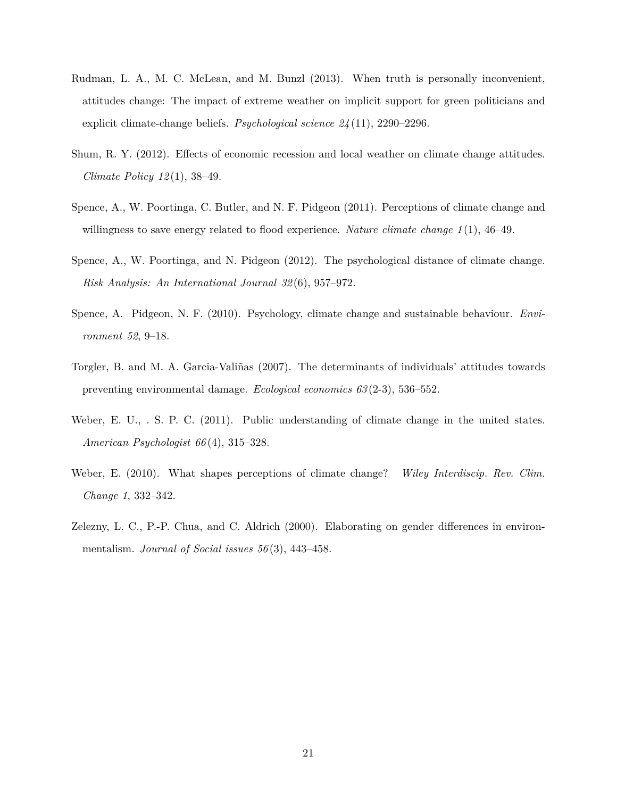- <span id="page-21-4"></span>Rudman, L. A., M. C. McLean, and M. Bunzl (2013). When truth is personally inconvenient, attitudes change: The impact of extreme weather on implicit support for green politicians and explicit climate-change beliefs. *Psychological science 24* (11), 2290–2296.
- <span id="page-21-8"></span>Shum, R. Y. (2012). Effects of economic recession and local weather on climate change attitudes. *Climate Policy 12* (1), 38–49.
- <span id="page-21-5"></span>Spence, A., W. Poortinga, C. Butler, and N. F. Pidgeon (2011). Perceptions of climate change and willingness to save energy related to flood experience. *Nature climate change 1* (1), 46–49.
- <span id="page-21-3"></span>Spence, A., W. Poortinga, and N. Pidgeon (2012). The psychological distance of climate change. *Risk Analysis: An International Journal 32* (6), 957–972.
- <span id="page-21-0"></span>Spence, A. Pidgeon, N. F. (2010). Psychology, climate change and sustainable behaviour. *Environment 52*, 9–18.
- <span id="page-21-7"></span>Torgler, B. and M. A. Garcia-Valiñas (2007). The determinants of individuals' attitudes towards preventing environmental damage. *Ecological economics 63* (2-3), 536–552.
- <span id="page-21-2"></span>Weber, E. U., . S. P. C. (2011). Public understanding of climate change in the united states. *American Psychologist 66* (4), 315–328.
- <span id="page-21-1"></span>Weber, E. (2010). What shapes perceptions of climate change? *Wiley Interdiscip. Rev. Clim. Change 1*, 332–342.
- <span id="page-21-6"></span>Zelezny, L. C., P.-P. Chua, and C. Aldrich (2000). Elaborating on gender differences in environmentalism. *Journal of Social issues 56* (3), 443–458.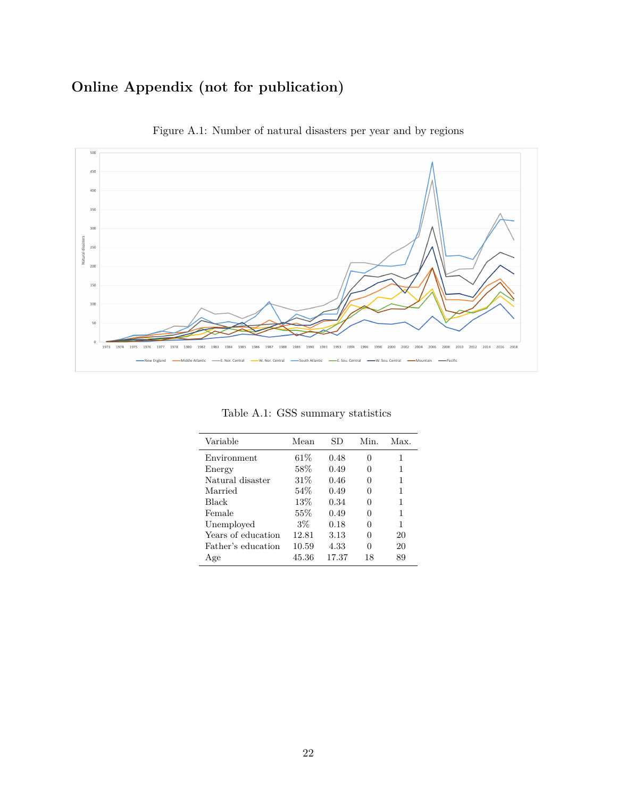## **Online Appendix (not for publication)**

<span id="page-22-1"></span>

Figure A.1: Number of natural disasters per year and by regions

<span id="page-22-0"></span>

| Variable           | Mean   | SD    | Min.     | Max. |
|--------------------|--------|-------|----------|------|
| Environment        | $61\%$ | 0.48  | $\theta$ | 1    |
| Energy             | 58%    | 0.49  | 0        | 1    |
| Natural disaster   | 31%    | 0.46  | 0        | 1    |
| Married            | 54%    | 0.49  | 0        | 1    |
| <b>Black</b>       | 13%    | 0.34  | $\theta$ | 1    |
| Female             | $55\%$ | 0.49  | 0        | 1    |
| Unemployed         | $3\%$  | 0.18  | 0        | 1    |
| Years of education | 12.81  | 3.13  | 0        | 20   |
| Father's education | 10.59  | 4.33  | 0        | 20   |
| Age                | 45.36  | 17.37 | 18       | 89   |

Table A.1: GSS summary statistics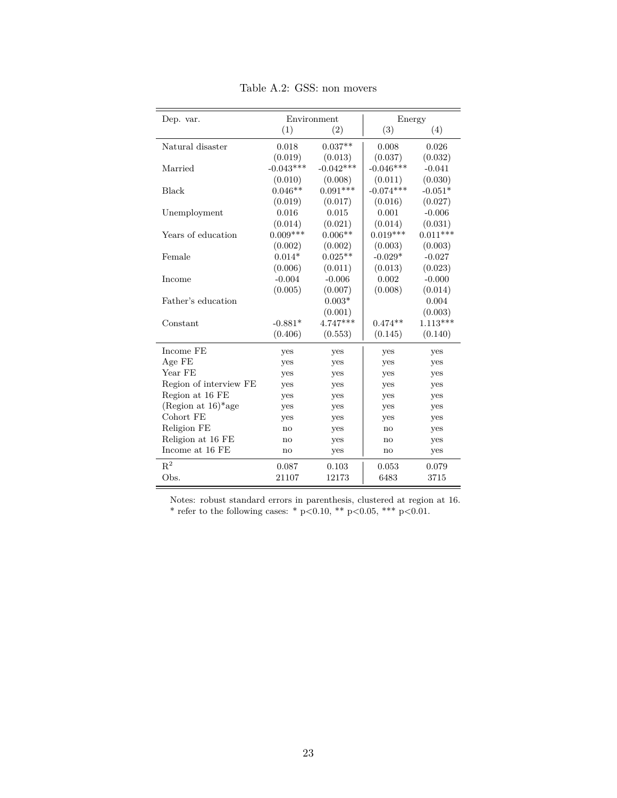<span id="page-23-0"></span>

| Dep. var.                         |             | Environment | Energy                 |            |
|-----------------------------------|-------------|-------------|------------------------|------------|
|                                   | (1)         | (2)         | (3)                    | (4)        |
| Natural disaster                  | 0.018       | $0.037**$   | 0.008                  | 0.026      |
|                                   | (0.019)     | (0.013)     | (0.037)                | (0.032)    |
| Married                           | $-0.043***$ | $-0.042***$ | $-0.046***$            | $-0.041$   |
|                                   | (0.010)     | (0.008)     | (0.011)                | (0.030)    |
| <b>Black</b>                      | $0.046**$   | $0.091***$  | $-0.074***$            | $-0.051*$  |
|                                   | (0.019)     | (0.017)     | (0.016)                | (0.027)    |
| Unemployment                      | 0.016       | 0.015       | 0.001                  | $-0.006$   |
|                                   | (0.014)     | (0.021)     | (0.014)                | (0.031)    |
| Years of education                | $0.009***$  | $0.006**$   | $0.019***$             | $0.011***$ |
|                                   | (0.002)     | (0.002)     | (0.003)                | (0.003)    |
| Female                            | $0.014*$    | $0.025**$   | $-0.029*$              | $-0.027$   |
|                                   | (0.006)     | (0.011)     | (0.013)                | (0.023)    |
| Income                            | $-0.004$    | $-0.006$    | 0.002                  | $-0.000$   |
|                                   | (0.005)     | (0.007)     | (0.008)                | (0.014)    |
| Father's education                |             | $0.003*$    |                        | 0.004      |
|                                   |             | (0.001)     |                        | (0.003)    |
| Constant                          | $-0.881*$   | 4.747***    | $0.474**$              | $1.113***$ |
|                                   | (0.406)     | (0.553)     | (0.145)                | (0.140)    |
| Income FE                         | yes         | yes         | yes                    | yes        |
| Age FE                            | yes         | yes         | yes                    | yes        |
| Year FE                           | yes         | yes         | yes                    | yes        |
| Region of interview FE            | yes         | yes         | yes                    | yes        |
| Region at 16 FE                   | yes         | yes         | yes                    | yes        |
| (Region at $16$ <sup>*</sup> age) | yes         | yes         | yes                    | yes        |
| Cohort FE                         | yes         | yes         | yes                    | yes        |
| Religion FE                       | no          | yes         | no                     | yes        |
| Religion at 16 FE                 | no          | yes         | $\mathbf{n}\mathbf{o}$ | yes        |
| Income at 16 FE                   | no          | yes         | no                     | yes        |
| $R^2$                             | 0.087       | 0.103       | 0.053                  | 0.079      |
| Obs.                              | 21107       | 12173       | 6483                   | 3715       |

Table A.2: GSS: non movers

Notes: robust standard errors in parenthesis, clustered at region at 16. \* refer to the following cases: \*  $p<0.10$ , \*\*  $p<0.05$ , \*\*\*  $p<0.01$ .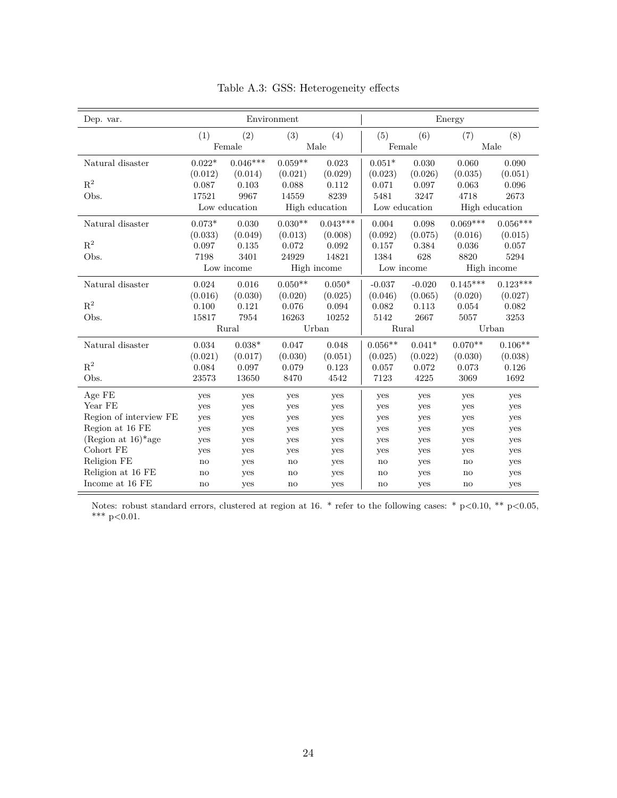<span id="page-24-0"></span>

| Dep. var.                         | Environment |               |           |                |               |            | Energy     |                |  |
|-----------------------------------|-------------|---------------|-----------|----------------|---------------|------------|------------|----------------|--|
|                                   | (1)         | (2)           | (3)       | (4)            | (5)           | (6)        | (7)        | (8)            |  |
|                                   |             | Female        |           | Male           | Female        |            |            | Male           |  |
| Natural disaster                  | $0.022*$    | $0.046***$    | $0.059**$ | 0.023          | $0.051*$      | 0.030      | 0.060      | 0.090          |  |
|                                   | (0.012)     | (0.014)       | (0.021)   | (0.029)        | (0.023)       | (0.026)    | (0.035)    | (0.051)        |  |
| $R^2$                             | 0.087       | 0.103         | 0.088     | 0.112          | 0.071         | 0.097      | 0.063      | 0.096          |  |
| Obs.                              | 17521       | 9967          | 14559     | 8239           | 5481          | 3247       | 4718       | 2673           |  |
|                                   |             | Low education |           | High education | Low education |            |            | High education |  |
| Natural disaster                  | $0.073*$    | 0.030         | $0.030**$ | $0.043***$     | 0.004         | 0.098      | $0.069***$ | $0.056***$     |  |
|                                   | (0.033)     | (0.049)       | (0.013)   | (0.008)        | (0.092)       | (0.075)    | (0.016)    | (0.015)        |  |
| $R^2$                             | 0.097       | 0.135         | 0.072     | 0.092          | 0.157         | 0.384      | 0.036      | 0.057          |  |
| Obs.                              | 7198        | 3401          | 24929     | 14821          | 1384          | 628        | 8820       | 5294           |  |
|                                   |             | Low income    |           | High income    |               | Low income |            | High income    |  |
| Natural disaster                  | 0.024       | 0.016         | $0.050**$ | $0.050*$       | $-0.037$      | $-0.020$   | $0.145***$ | $0.123***$     |  |
|                                   | (0.016)     | (0.030)       | (0.020)   | (0.025)        | (0.046)       | (0.065)    | (0.020)    | (0.027)        |  |
| $R^2$                             | 0.100       | 0.121         | 0.076     | 0.094          | 0.082         | 0.113      | 0.054      | 0.082          |  |
| Obs.                              | 15817       | 7954          | 16263     | 10252          | 5142          | 2667       | 5057       | 3253           |  |
|                                   |             | Rural         |           | Urban          | Rural         |            | Urban      |                |  |
| Natural disaster                  | 0.034       | $0.038*$      | 0.047     | 0.048          | $0.056**$     | $0.041*$   | $0.070**$  | $0.106**$      |  |
|                                   | (0.021)     | (0.017)       | (0.030)   | (0.051)        | (0.025)       | (0.022)    | (0.030)    | (0.038)        |  |
| $R^2$                             | 0.084       | 0.097         | 0.079     | 0.123          | 0.057         | 0.072      | 0.073      | 0.126          |  |
| Obs.                              | 23573       | 13650         | 8470      | 4542           | 7123          | 4225       | 3069       | 1692           |  |
| Age FE                            | yes         | yes           | yes       | yes            | yes           | yes        | yes        | yes            |  |
| Year FE                           | yes         | yes           | yes       | yes            | yes           | yes        | yes        | yes            |  |
| Region of interview FE            | yes         | yes           | yes       | yes            | yes           | yes        | yes        | yes            |  |
| Region at 16 FE                   | yes         | yes           | yes       | yes            | yes           | yes        | yes        | yes            |  |
| (Region at $16$ <sup>*</sup> age) | yes         | yes           | yes       | yes            | yes           | yes        | yes        | yes            |  |
| Cohort FE                         | yes         | yes           | yes       | yes            | yes           | yes        | yes        | yes            |  |
| Religion FE                       | no          | yes           | no        | yes            | no            | yes        | no         | yes            |  |
| Religion at 16 FE                 | no          | yes           | no        | yes            | no            | yes        | no         | yes            |  |
| Income at 16 FE                   | no          | yes           | no        | yes            | no            | yes        | no         | yes            |  |

Table A.3: GSS: Heterogeneity effects

Notes: robust standard errors, clustered at region at 16. \* refer to the following cases: \*  $p<0.10$ , \*\*  $p<0.05$ , \*\*\*  $p<0.01$ .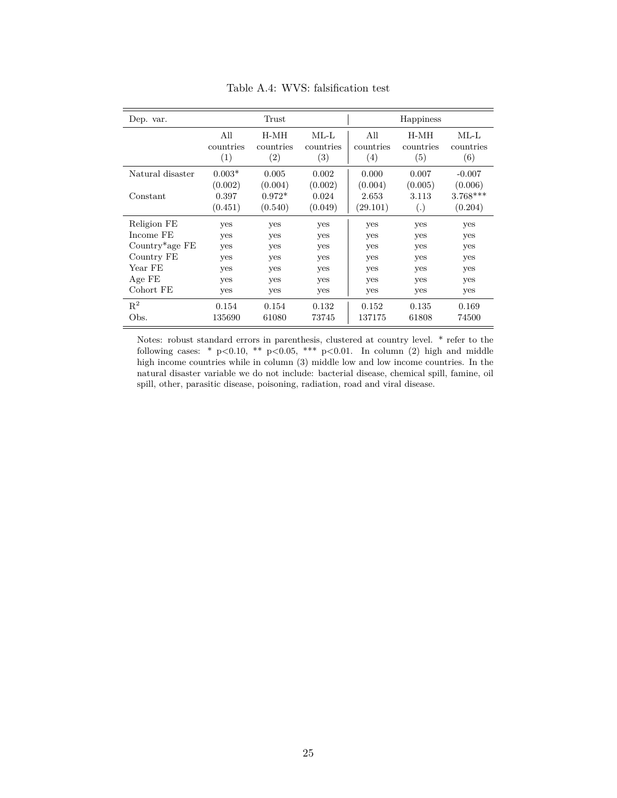| Dep. var.                     |                             | Trust                          |                             |                                      | Happiness                |                                  |
|-------------------------------|-----------------------------|--------------------------------|-----------------------------|--------------------------------------|--------------------------|----------------------------------|
|                               | All<br>countries<br>(1)     | H-MH<br>countries<br>(2)       | $ML-L$<br>countries<br>(3)  | All<br>countries<br>$\left(4\right)$ | H-MH<br>countries<br>(5) | $ML-L$<br>countries<br>(6)       |
| Natural disaster              | $0.003*$                    | 0.005                          | 0.002                       | 0.000                                | 0.007                    | $-0.007$                         |
| Constant                      | (0.002)<br>0.397<br>(0.451) | (0.004)<br>$0.972*$<br>(0.540) | (0.002)<br>0.024<br>(0.049) | (0.004)<br>2.653<br>(29.101)         | (0.005)<br>3.113<br>(.)  | (0.006)<br>$3.768***$<br>(0.204) |
| Religion FE                   | yes                         | yes                            | yes                         | yes                                  | yes                      | yes                              |
| Income FE                     | yes                         | yes                            | yes                         | yes                                  | yes                      | yes                              |
| Country <sup>*</sup> age $FE$ | yes                         | yes                            | yes                         | yes                                  | yes                      | yes                              |
| Country FE                    | yes                         | yes                            | yes                         | yes                                  | yes                      | yes                              |
| Year FE                       | yes                         | yes                            | yes                         | yes                                  | yes                      | yes                              |
| Age FE                        | yes                         | yes                            | yes                         | yes                                  | yes                      | yes                              |
| Cohort FE                     | yes                         | yes                            | yes                         | yes                                  | yes                      | yes                              |
| $R^2$                         | 0.154                       | 0.154                          | 0.132                       | 0.152                                | 0.135                    | 0.169                            |
| Obs.                          | 135690                      | 61080                          | 73745                       | 137175                               | 61808                    | 74500                            |

Table A.4: WVS: falsification test

Notes: robust standard errors in parenthesis, clustered at country level. \* refer to the following cases: \*  $p<0.10$ , \*\*  $p<0.05$ , \*\*\*  $p<0.01$ . In column (2) high and middle high income countries while in column (3) middle low and low income countries. In the natural disaster variable we do not include: bacterial disease, chemical spill, famine, oil spill, other, parasitic disease, poisoning, radiation, road and viral disease.